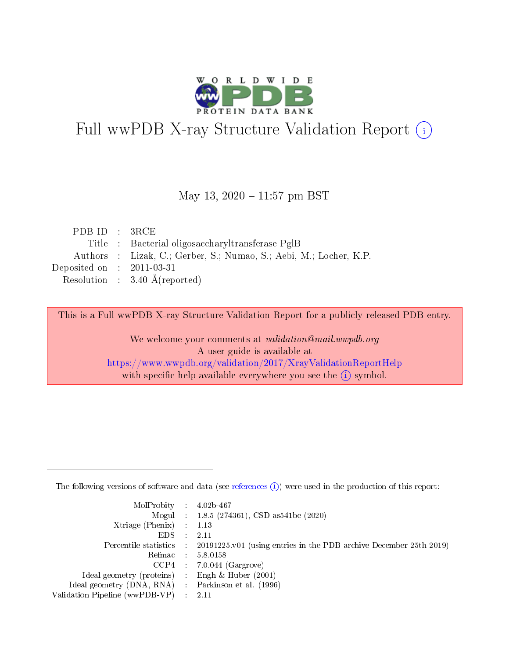

# Full wwPDB X-ray Structure Validation Report (i)

#### May 13,  $2020 - 11:57$  pm BST

| PDBID : 3RCE                |                                                                    |
|-----------------------------|--------------------------------------------------------------------|
|                             | Title : Bacterial oligosaccharyltransferase PglB                   |
|                             | Authors : Lizak, C.; Gerber, S.; Numao, S.; Aebi, M.; Locher, K.P. |
| Deposited on : $2011-03-31$ |                                                                    |
|                             | Resolution : $3.40 \text{ Å}$ (reported)                           |

This is a Full wwPDB X-ray Structure Validation Report for a publicly released PDB entry.

We welcome your comments at validation@mail.wwpdb.org A user guide is available at <https://www.wwpdb.org/validation/2017/XrayValidationReportHelp> with specific help available everywhere you see the  $(i)$  symbol.

The following versions of software and data (see [references](https://www.wwpdb.org/validation/2017/XrayValidationReportHelp#references)  $(1)$ ) were used in the production of this report:

| $MolProbability$ : 4.02b-467                        |                                                                                            |
|-----------------------------------------------------|--------------------------------------------------------------------------------------------|
|                                                     | Mogul : $1.8.5$ (274361), CSD as 541be (2020)                                              |
| Xtriage (Phenix) $: 1.13$                           |                                                                                            |
| EDS                                                 | -2.11                                                                                      |
|                                                     | Percentile statistics : 20191225.v01 (using entries in the PDB archive December 25th 2019) |
| Refmac 58.0158                                      |                                                                                            |
|                                                     | $CCP4$ 7.0.044 (Gargrove)                                                                  |
| Ideal geometry (proteins) : Engh $\&$ Huber (2001)  |                                                                                            |
| Ideal geometry (DNA, RNA) : Parkinson et al. (1996) |                                                                                            |
| Validation Pipeline (wwPDB-VP) : 2.11               |                                                                                            |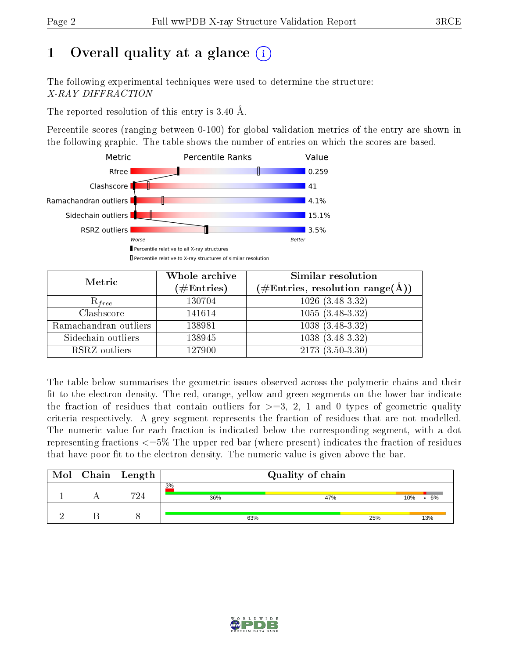# 1 [O](https://www.wwpdb.org/validation/2017/XrayValidationReportHelp#overall_quality)verall quality at a glance  $(i)$

The following experimental techniques were used to determine the structure: X-RAY DIFFRACTION

The reported resolution of this entry is 3.40 Å.

Percentile scores (ranging between 0-100) for global validation metrics of the entry are shown in the following graphic. The table shows the number of entries on which the scores are based.



| Metric                | Whole archive<br>$(\#\text{Entries})$ | Similar resolution<br>$(\#\text{Entries}, \text{resolution range}(\textup{\AA}))$ |  |  |
|-----------------------|---------------------------------------|-----------------------------------------------------------------------------------|--|--|
| $R_{free}$            | 130704                                | $1026(3.48-3.32)$                                                                 |  |  |
| Clashscore            | 141614                                | $1055(3.48-3.32)$                                                                 |  |  |
| Ramachandran outliers | 138981                                | $1038(3.48-3.32)$                                                                 |  |  |
| Sidechain outliers    | 138945                                | $1038(3.48-3.32)$                                                                 |  |  |
| RSRZ outliers         | 127900                                | $2173(3.50-3.30)$                                                                 |  |  |

The table below summarises the geometric issues observed across the polymeric chains and their fit to the electron density. The red, orange, yellow and green segments on the lower bar indicate the fraction of residues that contain outliers for  $>=3, 2, 1$  and 0 types of geometric quality criteria respectively. A grey segment represents the fraction of residues that are not modelled. The numeric value for each fraction is indicated below the corresponding segment, with a dot representing fractions  $\epsilon=5\%$  The upper red bar (where present) indicates the fraction of residues that have poor fit to the electron density. The numeric value is given above the bar.

| Mol | $\mid$ Chain $\mid$ Length | Quality of chain |     |           |  |  |  |
|-----|----------------------------|------------------|-----|-----------|--|--|--|
|     | 794                        | 3%<br>36%        | 47% | 6%<br>10% |  |  |  |
|     |                            | 63%              | 25% | 13%       |  |  |  |

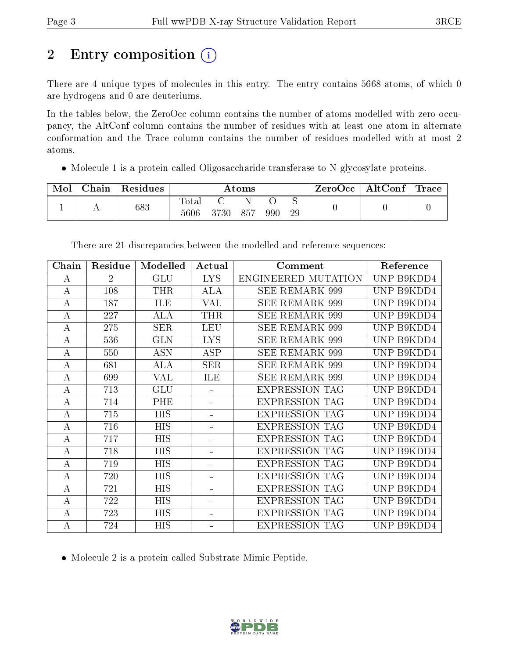# 2 Entry composition (i)

There are 4 unique types of molecules in this entry. The entry contains 5668 atoms, of which 0 are hydrogens and 0 are deuteriums.

In the tables below, the ZeroOcc column contains the number of atoms modelled with zero occupancy, the AltConf column contains the number of residues with at least one atom in alternate conformation and the Trace column contains the number of residues modelled with at most 2 atoms.

Molecule 1 is a protein called Oligosaccharide transferase to N-glycosylate proteins.

| Mol | ${\rm Chain}$ | Residues | Atoms                    |      |     |     |         | ZeroOcc | $\parallel$ AltConf $\parallel$ | Trace |
|-----|---------------|----------|--------------------------|------|-----|-----|---------|---------|---------------------------------|-------|
|     |               | 683      | $\mathrm{Total}$<br>5606 | 3730 | 857 | 990 | ◡<br>29 |         |                                 |       |

| Chain            | Residue        | Modelled   | Actual         | Comment               | Reference  |
|------------------|----------------|------------|----------------|-----------------------|------------|
| A                | $\overline{2}$ | GLU        | <b>LYS</b>     | ENGINEERED MUTATION   | UNP B9KDD4 |
| $\boldsymbol{A}$ | 108            | THR        | ALA            | <b>SEE REMARK 999</b> | UNP B9KDD4 |
| A                | 187            | <b>ILE</b> | VAL            | <b>SEE REMARK 999</b> | UNP B9KDD4 |
| А                | 227            | ALA        | <b>THR</b>     | SEE REMARK 999        | UNP B9KDD4 |
| $\boldsymbol{A}$ | 275            | <b>SER</b> | LEU            | <b>SEE REMARK 999</b> | UNP B9KDD4 |
| $\boldsymbol{A}$ | 536            | <b>GLN</b> | <b>LYS</b>     | SEE REMARK 999        | UNP B9KDD4 |
| A                | 550            | <b>ASN</b> | <b>ASP</b>     | <b>SEE REMARK 999</b> | UNP B9KDD4 |
| $\boldsymbol{A}$ | 681            | <b>ALA</b> | <b>SER</b>     | <b>SEE REMARK 999</b> | UNP B9KDD4 |
| A                | 699            | <b>VAL</b> | ILE            | SEE REMARK 999        | UNP B9KDD4 |
| $\bf{A}$         | 713            | GLU        |                | <b>EXPRESSION TAG</b> | UNP B9KDD4 |
| $\boldsymbol{A}$ | 714            | PHE        |                | <b>EXPRESSION TAG</b> | UNP B9KDD4 |
| $\bf{A}$         | 715            | <b>HIS</b> | ÷.             | <b>EXPRESSION TAG</b> | UNP B9KDD4 |
| А                | 716            | <b>HIS</b> | $\blacksquare$ | <b>EXPRESSION TAG</b> | UNP B9KDD4 |
| $\bf{A}$         | 717            | <b>HIS</b> | ÷.             | <b>EXPRESSION TAG</b> | UNP B9KDD4 |
| $\bf{A}$         | 718            | <b>HIS</b> | $\blacksquare$ | <b>EXPRESSION TAG</b> | UNP B9KDD4 |
| $\bf{A}$         | 719            | <b>HIS</b> | ÷              | <b>EXPRESSION TAG</b> | UNP B9KDD4 |
| А                | 720            | <b>HIS</b> | $\blacksquare$ | <b>EXPRESSION TAG</b> | UNP B9KDD4 |
| A                | 721            | <b>HIS</b> | $\blacksquare$ | <b>EXPRESSION TAG</b> | UNP B9KDD4 |
| $\boldsymbol{A}$ | 722            | <b>HIS</b> | ÷              | <b>EXPRESSION TAG</b> | UNP B9KDD4 |
| А                | 723            | <b>HIS</b> | Ξ.             | <b>EXPRESSION TAG</b> | UNP B9KDD4 |
| $\boldsymbol{A}$ | 724            | <b>HIS</b> |                | <b>EXPRESSION TAG</b> | UNP B9KDD4 |

There are 21 discrepancies between the modelled and reference sequences:

Molecule 2 is a protein called Substrate Mimic Peptide.

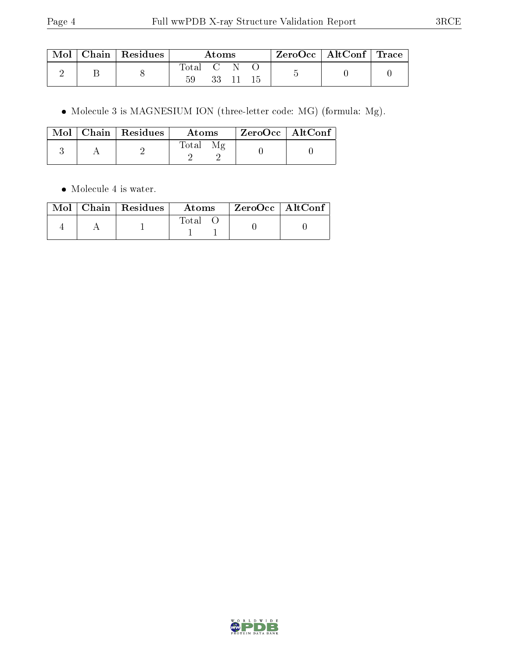|  | $\mid$ Mol $\mid$ Chain $\mid$ Residues | Atoms   |  | ZeroOcc   AltConf   Trace |  |  |  |
|--|-----------------------------------------|---------|--|---------------------------|--|--|--|
|  |                                         | Total C |  | 33 11 15                  |  |  |  |

Molecule 3 is MAGNESIUM ION (three-letter code: MG) (formula: Mg).

|  | $\text{Mol}$   Chain   Residues | Atoms | $^{\circ}$ ZeroOcc   AltConf $^{\circ}$ |
|--|---------------------------------|-------|-----------------------------------------|
|  |                                 | Total |                                         |

• Molecule 4 is water.

|  | $\text{Mol}$   Chain   Residues | Atoms | ZeroOcc   AltConf |
|--|---------------------------------|-------|-------------------|
|  |                                 | Total |                   |

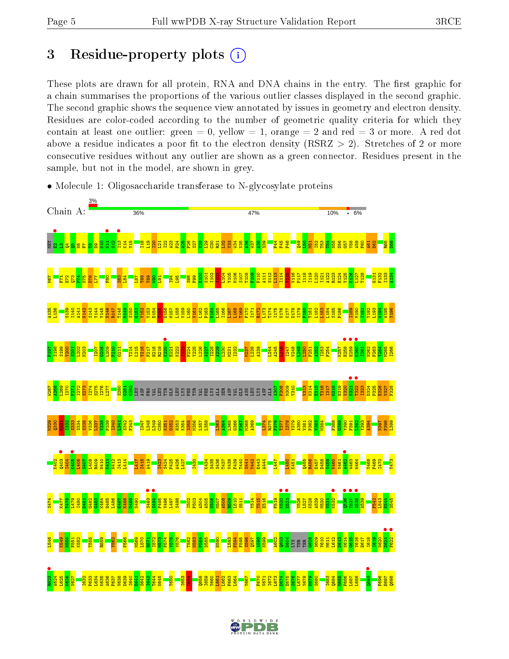## 3 Residue-property plots  $(i)$

These plots are drawn for all protein, RNA and DNA chains in the entry. The first graphic for a chain summarises the proportions of the various outlier classes displayed in the second graphic. The second graphic shows the sequence view annotated by issues in geometry and electron density. Residues are color-coded according to the number of geometric quality criteria for which they contain at least one outlier: green  $= 0$ , yellow  $= 1$ , orange  $= 2$  and red  $= 3$  or more. A red dot above a residue indicates a poor fit to the electron density (RSRZ  $> 2$ ). Stretches of 2 or more consecutive residues without any outlier are shown as a green connector. Residues present in the sample, but not in the model, are shown in grey.



• Molecule 1: Oligosaccharide transferase to N-glycosylate proteins

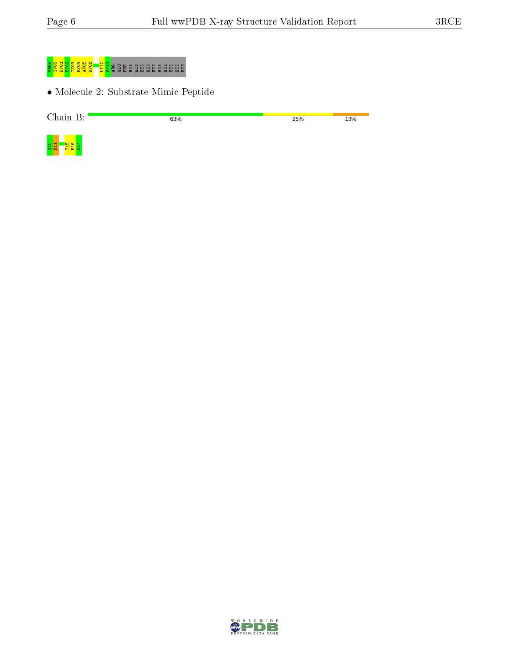

• Molecule 2: Substrate Mimic Peptide

| $\gamma_{\text{hoin}}$<br>. | 63% | 25% | 13% |
|-----------------------------|-----|-----|-----|
|                             |     |     |     |



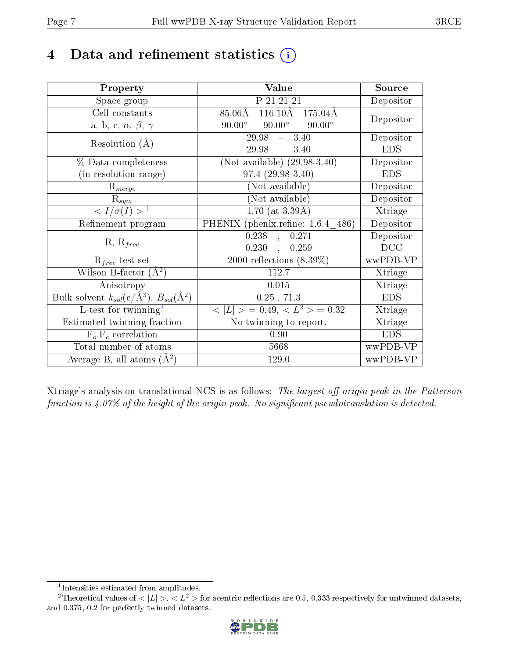## 4 Data and refinement statistics  $(i)$

| Property                                                             | Value                                              | Source                       |
|----------------------------------------------------------------------|----------------------------------------------------|------------------------------|
| Space group                                                          | P 21 21 21                                         | Depositor                    |
| Cell constants                                                       | $116.10\text{\AA}$<br>$85.06\text{\AA}$<br>175.04Å |                              |
| a, b, c, $\alpha$ , $\beta$ , $\gamma$                               | $90.00^\circ$<br>$90.00^\circ$<br>$90.00^\circ$    | Depositor                    |
| Resolution $(A)$                                                     | $\overline{29.98}$ - 3.40                          | Depositor                    |
|                                                                      | $29.98 - 3.40$                                     | <b>EDS</b>                   |
| % Data completeness                                                  | $(Not\ available)$ (29.98-3.40)                    | Depositor                    |
| (in resolution range)                                                | 97.4 (29.98-3.40)                                  | <b>EDS</b>                   |
| $R_{merge}$                                                          | (Not available)                                    | Depositor                    |
| $\mathrm{R}_{sym}$                                                   | (Not available)                                    | Depositor                    |
| $\langle I/\sigma(I) \rangle^{-1}$                                   | $1.70$ (at $3.39\AA$ )                             | Xtriage                      |
| Refinement program                                                   | PHENIX (phenix.refine: 1.6.4 486)                  | Depositor                    |
| $R, R_{free}$                                                        | $\overline{0.238}$ ,<br>0.271                      | Depositor                    |
|                                                                      | $0.230$ ,<br>0.259                                 | DCC                          |
| $R_{free}$ test set                                                  | 2000 reflections $(8.39\%)$                        | wwPDB-VP                     |
| Wilson B-factor $(A^2)$                                              | 112.7                                              | Xtriage                      |
| Anisotropy                                                           | 0.015                                              | Xtriage                      |
| Bulk solvent $k_{sol}(e/\mathring{A}^3)$ , $B_{sol}(\mathring{A}^2)$ | $0.25$ , $71.3$                                    | <b>EDS</b>                   |
| L-test for twinning <sup>2</sup>                                     | $< L >$ = 0.49, $< L^2 >$ = 0.32                   | $\overline{\text{X}}$ triage |
| Estimated twinning fraction                                          | No twinning to report.                             | Xtriage                      |
| $F_o, F_c$ correlation                                               | 0.90                                               | <b>EDS</b>                   |
| Total number of atoms                                                | 5668                                               | wwPDB-VP                     |
| Average B, all atoms $(A^2)$                                         | 129.0                                              | wwPDB-VP                     |

Xtriage's analysis on translational NCS is as follows: The largest off-origin peak in the Patterson function is  $4.07\%$  of the height of the origin peak. No significant pseudotranslation is detected.

<sup>&</sup>lt;sup>2</sup>Theoretical values of  $\langle |L| \rangle$ ,  $\langle L^2 \rangle$  for acentric reflections are 0.5, 0.333 respectively for untwinned datasets, and 0.375, 0.2 for perfectly twinned datasets.



<span id="page-6-1"></span><span id="page-6-0"></span><sup>1</sup> Intensities estimated from amplitudes.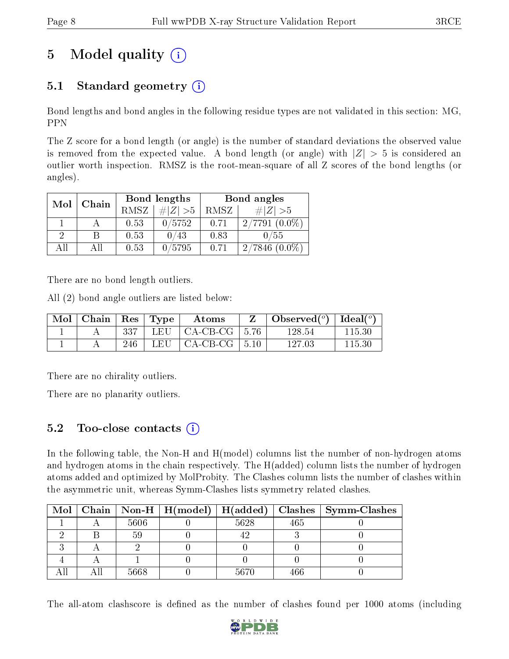# 5 Model quality  $(i)$

### 5.1 Standard geometry  $(i)$

Bond lengths and bond angles in the following residue types are not validated in this section: MG, PPN

The Z score for a bond length (or angle) is the number of standard deviations the observed value is removed from the expected value. A bond length (or angle) with  $|Z| > 5$  is considered an outlier worth inspection. RMSZ is the root-mean-square of all Z scores of the bond lengths (or angles).

| Mol | Chain |      | Bond lengths | Bond angles |                     |  |
|-----|-------|------|--------------|-------------|---------------------|--|
|     |       | RMSZ | $\# Z  > 5$  | RMSZ        | $\# Z  > 5$         |  |
|     |       | 0.53 | 0/5752       | 0.71        | 2/7791              |  |
| 2   | В     | 0.53 | ′43          | 0.83        | /55                 |  |
| ΔH  | ΑH    | 0.53 | 0/5795       | 0.71        | $(0.0\%)$<br>2/7846 |  |

There are no bond length outliers.

All (2) bond angle outliers are listed below:

| Mol | $\mid$ Chain $\mid$ Res $\mid$ Type |     |       | Atoms                             | Observed( $^{\circ}$ )   Ideal( $^{\circ}$ ) |        |
|-----|-------------------------------------|-----|-------|-----------------------------------|----------------------------------------------|--------|
|     |                                     | 337 |       | LEU $\vert$ CA-CB-CG $\vert$ 5.76 | 128.54                                       | 115.30 |
|     |                                     | 246 | LEU – | $\vert$ CA-CB-CG $\vert$ 5.10     | 127 03                                       | 115.30 |

There are no chirality outliers.

There are no planarity outliers.

### 5.2 Too-close contacts  $\overline{a}$

In the following table, the Non-H and H(model) columns list the number of non-hydrogen atoms and hydrogen atoms in the chain respectively. The H(added) column lists the number of hydrogen atoms added and optimized by MolProbity. The Clashes column lists the number of clashes within the asymmetric unit, whereas Symm-Clashes lists symmetry related clashes.

|  |      | Mol   Chain   Non-H   $H (model)$   $H (added)$ |      |     | Clashes   Symm-Clashes |
|--|------|-------------------------------------------------|------|-----|------------------------|
|  | 5606 |                                                 | 5628 | 465 |                        |
|  | 59   |                                                 |      |     |                        |
|  |      |                                                 |      |     |                        |
|  |      |                                                 |      |     |                        |
|  | 5668 |                                                 | 5670 | 466 |                        |

The all-atom clashscore is defined as the number of clashes found per 1000 atoms (including

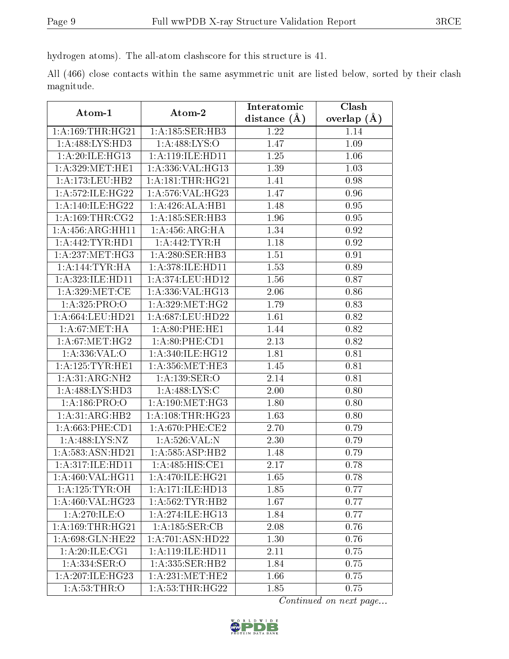hydrogen atoms). The all-atom clashscore for this structure is 41.

All (466) close contacts within the same asymmetric unit are listed below, sorted by their clash magnitude.

| Atom-1                          | Atom-2              | Interatomic      | Clash         |
|---------------------------------|---------------------|------------------|---------------|
|                                 |                     | distance $(\AA)$ | overlap $(A)$ |
| 1: A: 169: THR: HG21            | 1: A:185: SER:HB3   | 1.22             | 1.14          |
| 1: A:488: LYS: HD3              | 1: A:488: LYS:O     | 1.47             | 1.09          |
| 1: A:20: ILE: HG13              | 1: A:119: ILE: HD11 | 1.25             | 1.06          |
| 1: A:329:MET:HE1                | 1:A:336:VAL:HG13    | 1.39             | $1.03\,$      |
| 1:A:173:LEU:HB2                 | 1: A:181:THR:HG21   | 1.41             | 0.98          |
| 1:A:572:ILE:HG22                | 1: A:576: VAL:HG23  | 1.47             | 0.96          |
| 1: A:140: ILE: HG22             | 1:A:426:ALA:HB1     | 1.48             | $\rm 0.95$    |
| 1: A: 169: THR: CG2             | 1:A:185:SER:HB3     | 1.96             | 0.95          |
| 1:A:456:ARG:HH11                | 1:A:456:ARG:HA      | 1.34             | 0.92          |
| 1: A: 442: TYR: HD1             | 1:A:442:TYR:H       | 1.18             | 0.92          |
| 1: A: 237: MET:HG3              | 1: A:280: SER:HB3   | 1.51             | 0.91          |
| 1:A:144:TYR:HA                  | 1: A:378: ILE: HD11 | 1.53             | 0.89          |
| 1:A:323:ILE:HD11                | 1: A:374:LEU:HD12   | 1.56             | 0.87          |
| 1: A:329: MET:CE                | 1:A:336:VAL:HG13    | 2.06             | 0.86          |
| 1: A: 325: PRO:O                | 1: A:329: MET:HG2   | 1.79             | 0.83          |
| 1: A:664:LEU:HD21               | 1:A:687:LEU:HD22    | 1.61             | 0.82          |
| 1: A:67: MET:HA                 | 1: A:80:PHE:HE1     | 1.44             | 0.82          |
| 1: A:67: MET:HG2                | 1: A:80:PHE:CD1     | 2.13             | 0.82          |
| 1: A: 336: VAL: O               | 1: A:340: ILE: HG12 | 1.81             | 0.81          |
| 1: A: 125: TYR: HE1             | 1: A: 356: MET: HE3 | 1.45             | 0.81          |
| 1: A:31: ARG:NH2                | 1: A: 139: SER: O   | 2.14             | 0.81          |
| 1: A:488: LYS: HD3              | 1:A:488:LYS:C       | 2.00             | 0.80          |
| 1:A:186:PRO:O                   | 1: A:190:MET:HG3    | 1.80             | 0.80          |
| 1:A:31:ARG:HB2                  | 1: A:108:THR:HG23   | 1.63             | 0.80          |
| 1: A:663:PHE:CD1                | 1: A:670: PHE:CE2   | 2.70             | 0.79          |
| 1:A:488:LYS:NZ                  | 1: A:526: VAL: N    | 2.30             | 0.79          |
| 1:A:583:ASN:HD21                | 1:A:585:ASP:HB2     | 1.48             | 0.79          |
| 1:A:317:ILE:HD11                | 1:A:485:HIS:CE1     | 2.17             | 0.78          |
| 1:A:460:VAL:HG11                | 1:A:470:ILE:HG21    | 1.65             | 0.78          |
| 1: A:125: TYR:OH                | 1: A:171: ILE: HD13 | 1.85             | 0.77          |
| 1:A:460:VAL:HG23                | 1: A:562:TYR:HB2    | 1.67             | 0.77          |
| 1:A:270:ILE:O                   | 1:A:274:ILE:HG13    | 1.84             | 0.77          |
| 1:A:169:THR:HG21                | 1:A:185:SER:CB      | 2.08             | 0.76          |
| $1: A:698: \overline{GLN:HE22}$ | 1:A:701:ASN:HD22    | 1.30             | 0.76          |
| 1:A:20:ILE:CG1                  | 1: A:119: ILE: HD11 | 2.11             | 0.75          |
| 1:A:334:SER:O                   | 1: A: 335: SER: HB2 | 1.84             | 0.75          |
| 1: A:207: ILE: HG23             | 1:A:231:MET:HE2     | 1.66             | 0.75          |
| 1: A:53:THR:O                   | 1: A:53:THR:HG22    | 1.85             | 0.75          |

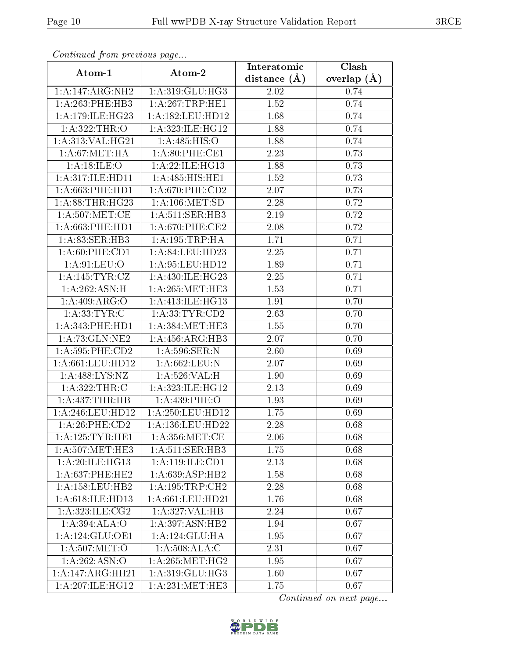| Continuea from previous page  |                      | Interatomic    | Clash           |
|-------------------------------|----------------------|----------------|-----------------|
| Atom-1                        | Atom-2               | distance $(A)$ | overlap $(\AA)$ |
| 1:A:147:ARG:NH2               | 1:A:319:GLU:HG3      | 2.02           | 0.74            |
| 1: A:263:PHE:HB3              | 1:A:267:TRP:HE1      | 1.52           | 0.74            |
| 1: A:179: ILE: HG23           | 1: A: 182: LEU: HD12 | 1.68           | 0.74            |
| 1:A:322:THR:O                 | 1:A:323:ILE:HG12     | 1.88           | 0.74            |
| 1: A: 313: VAL: HG21          | 1: A:485: HIS:O      | 1.88           | 0.74            |
| 1: A:67: MET:HA               | 1: A:80: PHE:CE1     | 2.23           | 0.73            |
| 1: A:18: ILE: O               | 1:A:22:ILE:HG13      | 1.88           | 0.73            |
| 1:A:317:ILE:HD11              | 1: A:485: HIS: HE1   | 1.52           | 0.73            |
| 1: A:663:PHE:HD1              | $1: A:670:$ PHE:CD2  | 2.07           | 0.73            |
| 1: A:88:THR:HG23              | 1: A: 106: MET: SD   | 2.28           | 0.72            |
| 1: A:507: MET:CE              | 1: A:511: SER:HB3    | 2.19           | 0.72            |
| 1: A:663:PHE:HD1              | 1: A:670: PHE:CE2    | 2.08           | 0.72            |
| 1: A:83: SER:HB3              | 1: A:195:TRP:HA      | 1.71           | 0.71            |
| 1: A:60:PHE:CD1               | 1:A:84:LEU:HD23      | 2.25           | 0.71            |
| 1: A:91: LEU:O                | 1:A:95:LEU:HD12      | 1.89           | 0.71            |
| 1:A:145:TYR:CZ                | 1:A:430:ILE:HG23     | 2.25           | 0.71            |
| 1:A:262:ASN:H                 | 1:A:265:MET:HE3      | 1.53           | 0.71            |
| 1:A:409:ARG:O                 | 1: A:413: ILE: HG13  | 1.91           | 0.70            |
| 1: A: 33: TYR: C              | 1: A: 33: TYR: CD2   | 2.63           | 0.70            |
| 1: A:343: PHE: HD1            | 1: A: 384: MET: HE3  | 1.55           | 0.70            |
| 1:A:73:GLN:NE2                | 1:A:456:ARG:HB3      | 2.07           | 0.70            |
| 1: A:595: PHE:CD2             | 1:A:596:SER:N        | 2.60           | 0.69            |
| 1:A:661:LEU:HD12              | 1:A:662:LEU:N        | 2.07           | 0.69            |
| 1:A:488:LYS:NZ                | 1: A:526: VAL:H      | 1.90           | 0.69            |
| 1:A:322:THR:C                 | 1:A:323:ILE:HG12     | 2.13           | 0.69            |
| $1:A:437:\overline{THR:HB}$   | 1: A: 439: PHE: O    | 1.93           | 0.69            |
| 1:A:246:LEU:HD12              | 1:A:250:LEU:HD12     | 1.75           | 0.69            |
| 1:A:26:PHE:CD2                | 1:A:136:LEU:HD22     | 2.28           | 0.68            |
| 1: A: 125: TYR: HE1           | 1: A: 356: MET:CE    | 2.06           | 0.68            |
| 1: A:507: MET:HE3             | 1: A:511: SER:HB3    | 1.75           | 0.68            |
| 1:A:20:ILE:HG13               | 1:A:119:ILE:CD1      | 2.13           | 0.68            |
| 1: A:637:PHE:HE2              | 1:A:639:ASP:HB2      | 1.58           | 0.68            |
| 1:A:158:LEU:HB2               | 1: A: 195: TRP: CH2  | 2.28           | 0.68            |
| 1: A:618: ILE: HD13           | 1: A:661:LEU:HD21    | 1.76           | 0.68            |
| 1: A:323: ILE: CG2            | 1:A:327:VAL:HB       | 2.24           | 0.67            |
| 1: A:394: ALA:O               | 1:A:397:ASN:HB2      | 1.94           | 0.67            |
| 1: A:124: GLU: OE1            | 1: A: 124: GLU: HA   | 1.95           | 0.67            |
| 1:A:507:MET:O                 | 1:A:508:ALA:C        | 2.31           | 0.67            |
| 1:A:262:ASN:O                 | 1: A:265: MET:HG2    | 1.95           | 0.67            |
| $1:A:147:A\overline{RG:HH21}$ | 1:A:319:GLU:HG3      | 1.60           | 0.67            |
| 1:A:207:ILE:HG12              | 1: A:231:MET:HE3     | 1.75           | 0.67            |

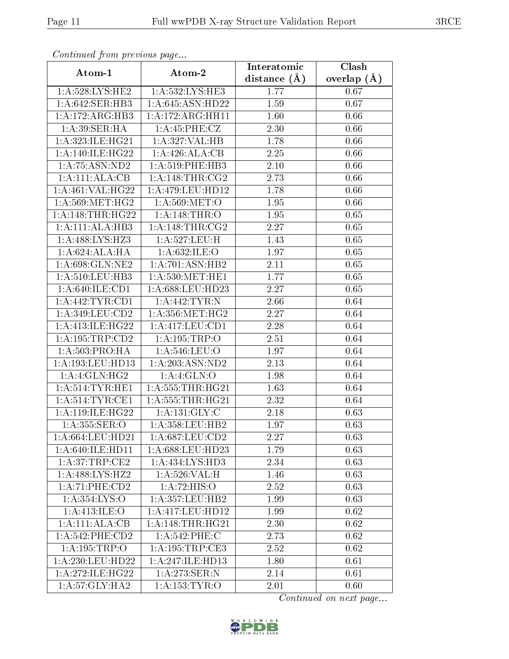| Continuea from previous page |                      | Interatomic    | Clash         |
|------------------------------|----------------------|----------------|---------------|
| Atom-1                       | Atom-2               | distance $(A)$ | overlap $(A)$ |
| 1: A:528: LYS: HE2           | 1: A: 532: LYS: HE3  | 1.77           | 0.67          |
| 1:A:642:SER:HB3              | 1:A:645:ASN:HD22     | 1.59           | 0.67          |
| 1: A:172: ARG: HB3           | 1: A:172:ARG:HH11    | 1.60           | 0.66          |
| 1: A:39: SER: HA             | 1:A:45:PHE:CZ        | 2.30           | 0.66          |
| 1:A:323:ILE:HG21             | 1:A:327:VAL:HB       | 1.78           | 0.66          |
| 1: A:140: ILE: HG22          | 1:A:426:ALA:CB       | 2.25           | 0.66          |
| 1: A:75: ASN:ND2             | 1: A:519: PHE:HB3    | 2.10           | 0.66          |
| 1:A:111:ALA:CB               | 1: A:148:THR:CG2     | 2.73           | 0.66          |
| 1:A:461:VAL:H G22            | 1: A:479:LEU:HD12    | 1.78           | 0.66          |
| 1: A:569:MET:HG2             | 1: A:569:MET:O       | 1.95           | 0.66          |
| 1: A:148:THR:HG22            | 1:A:148:THR:O        | 1.95           | 0.65          |
| 1:A:111:ALA:HB3              | 1:A:148:THR:CG2      | 2.27           | 0.65          |
| 1:A:488:LYS:HZ3              | 1: A:527:LEU:H       | <b>1.43</b>    | 0.65          |
| 1: A:624:ALA:HA              | 1: A:632: ILE: O     | 1.97           | 0.65          |
| 1:A:698:GLN:NE2              | 1:A:701:ASN:HB2      | 2.11           | 0.65          |
| 1: A:510:LEU:HB3             | 1: A:530:MET:HE1     | 1.77           | 0.65          |
| 1: A:640: ILE: CD1           | 1:A:688:LEU:HD23     | 2.27           | 0.65          |
| 1: A:442:TYR:CD1             | 1:A:442:TYR:N        | 2.66           | 0.64          |
| 1:A:349:LEU:CD2              | 1: A: 356: MET:HG2   | 2.27           | 0.64          |
| 1: A:413: ILE: HG22          | 1: A: 417: LEU: CD1  | 2.28           | 0.64          |
| 1: A: 195: TRP: CD2          | 1:A:195:TRP:O        | 2.51           | 0.64          |
| 1:A:503:PRO:HA               | 1:A:546:LEU:O        | 1.97           | 0.64          |
| 1:A:193:LEU:HD13             | 1:A:203:ASN:ND2      | 2.13           | 0.64          |
| 1:A:4:GLN:HG2                | 1: A:4: GLN:O        | 1.98           | 0.64          |
| 1: A:514:TYR:HE1             | 1: A: 555: THR: HG21 | 1.63           | 0.64          |
| 1: A:514:TYR:CE1             | 1: A: 555: THR: HG21 | 2.32           | 0.64          |
| 1:A:119:ILE:HG22             | 1: A: 131: GLY: C    | 2.18           | 0.63          |
| 1: A: 355: SER: O            | 1:A:358:LEU:HB2      | 1.97           | 0.63          |
| 1: A:664:LEU:HD21            | $1: A:687:LEU:$ CD2  | 2.27           | 0.63          |
| 1: A:640: ILE: HD11          | 1:A:688:LEU:HD23     | 1.79           | 0.63          |
| 1: A:37:TRP:CE2              | 1: A: 434: LYS: HD3  | 2.34           | 0.63          |
| 1:A:488:LYS:HZ2              | 1:A:526:VAL:H        | 1.46           | 0.63          |
| 1:A:71:PHE:CD2               | 1:A:72:HIS:O         | 2.52           | 0.63          |
| 1:A:354:LYS:O                | 1:A:357:LEU:HB2      | 1.99           | 0.63          |
| 1: A:413: ILE: O             | 1:A:417:LEU:HD12     | 1.99           | 0.62          |
| 1:A:111:ALA:CB               | 1: A:148:THR:HG21    | 2.30           | 0.62          |
| 1: A:542:PHE:CD2             | 1: A:542:PHE:C       | 2.73           | 0.62          |
| 1:A:195:TRP:O                | 1: A:195:TRP:CE3     | 2.52           | 0.62          |
| 1:A:230:LEU:HD22             | 1:A:247:ILE:HD13     | 1.80           | 0.61          |
| 1: A:272: ILE: HG22          | 1:A:273:SER:N        | 2.14           | 0.61          |
| 1: A:57: GLY: HA2            | 1: A: 153: TYR: O    | 2.01           | 0.60          |

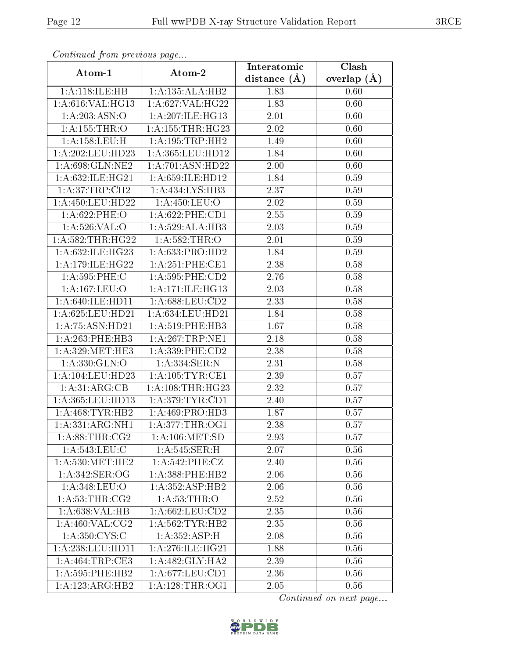| Continuea from previous page    |                      | Interatomic       | Clash           |
|---------------------------------|----------------------|-------------------|-----------------|
| Atom-1                          | Atom-2               | distance $(A)$    | overlap $(\AA)$ |
| 1:A:118:ILE:HB                  | 1:A:135:ALA:HB2      | 1.83              | 0.60            |
| 1:A:616:VAL:HG13                | 1:A:627:VAL:HG22     | 1.83              | 0.60            |
| 1:A:203:ASN:O                   | 1:A:207:ILE:HG13     | 2.01              | 0.60            |
| 1:A:155:THR:O                   | 1: A: 155: THR: HG23 | 2.02              | 0.60            |
| 1: A: 158: LEU: H               | 1:A:195:TRP:HH2      | 1.49              | 0.60            |
| 1:A:202:LEU:HD23                | 1:A:365:LEU:HD12     | 1.84              | 0.60            |
| 1:A:698:GLN:NE2                 | 1:A:701:ASN:HD22     | 2.00              | 0.60            |
| 1:A:632:ILE:HG21                | 1:A:659:ILE:HD12     | $\overline{1}.84$ | 0.59            |
| 1: A:37:TRP:CH2                 | 1: A: 434: LYS: HB3  | 2.37              | 0.59            |
| 1:A:450:LEU:HD22                | 1: A:450:LEU:O       | 2.02              | 0.59            |
| $1: A:622:$ PHE:O               | $1: A:622:$ PHE:CD1  | 2.55              | 0.59            |
| 1:A:526:VAL:O                   | 1:A:529:ALA:HB3      | 2.03              | 0.59            |
| $1:A:582$ : THR: HG22           | 1:A:582:THR:O        | 2.01              | 0.59            |
| 1:A:632:ILE:HG23                | 1: A:633: PRO:HD2    | 1.84              | 0.59            |
| 1: A:179: ILE: HG <sub>22</sub> | 1: A:251:PHE:CE1     | 2.38              | 0.58            |
| 1:A:595:PHE:C                   | 1: A:595:PHE:CD2     | 2.76              | 0.58            |
| 1:A:167:LEU:O                   | 1:A:171:ILE:HG13     | 2.03              | 0.58            |
| 1: A:640: ILE: HD11             | 1: A:688:LEU:CD2     | 2.33              | 0.58            |
| 1:A:625:LEU:HD21                | 1:A:634:LEU:HD21     | 1.84              | 0.58            |
| 1:A:75:ASN:HD21                 | 1: A:519: PHE:HB3    | 1.67              | 0.58            |
| 1: A:263:PHE:HB3                | 1: A:267:TRP:NE1     | 2.18              | 0.58            |
| 1: A:329:MET:HE3                | 1: A: 339: PHE: CD2  | 2.38              | 0.58            |
| 1:A:330:GLN:O                   | 1:A:334:SER:N        | 2.31              | 0.58            |
| 1: A:104:LEU:HD23               | 1: A: 105: TYR: CE1  | 2.39              | 0.57            |
| 1: A:31: ARG:CB                 | 1: A:108:THR:HG23    | 2.32              | 0.57            |
| 1:A:365:LEU:HD13                | 1: A:379:TYR:CD1     | 2.40              | 0.57            |
| 1:A:468:TYR:HB2                 | 1: A:469: PRO:HD3    | 1.87              | 0.57            |
| 1:A:331:ARG:NH1                 | 1:A:377:THR:OG1      | $2.38\,$          | 0.57            |
| 1: A:88:THR:CG2                 | 1: A: 106: MET:SD    | 2.93              | 0.57            |
| 1: A:543:LEU:C                  | 1: A:545: SER:H      | 2.07              | 0.56            |
| 1: A:530:MET:HE2                | $1: A:542:$ PHE:CZ   | 2.40              | 0.56            |
| 1:A:342:SER:OG                  | 1: A: 388: PHE: HB2  | 2.06              | 0.56            |
| 1: A:348: LEU:O                 | 1:A:352:ASP:HB2      | 2.06              | 0.56            |
| 1: A:53:THR:CG2                 | 1: A:53:THR:O        | 2.52              | 0.56            |
| 1:A:638:VAL:HB                  | 1: A:662:LEU:CD2     | 2.35              | 0.56            |
| 1: A:460: VAL: CG2              | 1: A:562:TYR:HB2     | 2.35              | 0.56            |
| 1: A:350: CYS:C                 | 1:A:352:ASP:H        | 2.08              | 0.56            |
| 1:A:238:LEU:H <sub>D11</sub>    | 1: A:276: ILE: HG21  | 1.88              | 0.56            |
| 1:A:464:TRP:CE3                 | 1: A:482: GLY:HA2    | 2.39              | 0.56            |
| 1: A:595:PHE:HB2                | 1: A:677:LEU:CD1     | 2.36              | 0.56            |
| 1:A:123:ARG:HB2                 | 1: A:128:THR:OG1     | 2.05              | 0.56            |

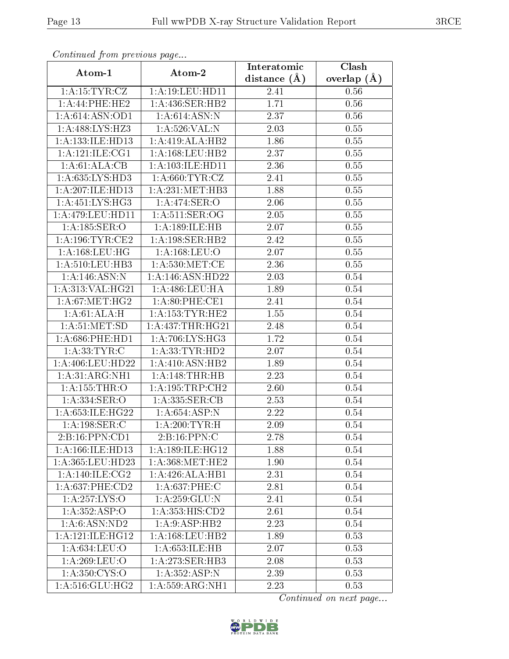| Commaca jibin previous page |                      | Interatomic       | Clash         |
|-----------------------------|----------------------|-------------------|---------------|
| Atom-1                      | Atom-2               | distance $(A)$    | overlap $(A)$ |
| 1:A:15:TYR:CZ               | 1:A:19:LEU:HD11      | 2.41              | 0.56          |
| 1:A:44:PHE:HE2              | 1:A:436:SER:HB2      | 1.71              | 0.56          |
| 1: A:614: ASN:OD1           | 1: A:614: ASN:N      | 2.37              | 0.56          |
| 1:A:488:LYS:HZ3             | 1: A:526: VAL: N     | 2.03              | 0.55          |
| 1: A: 133: ILE: HD13        | 1:A:419:ALA:HB2      | 1.86              | 0.55          |
| 1: A:121: ILE: CG1          | 1: A: 168: LEU: HB2  | 2.37              | 0.55          |
| 1:A:61:ALA:CB               | 1: A: 103: ILE: HD11 | 2.36              | 0.55          |
| 1: A:635:LYS:HD3            | 1: A:660:TYR:CZ      | 2.41              | 0.55          |
| 1:A:207:ILE:HD13            | 1: A:231: MET:HB3    | 1.88              | 0.55          |
| 1: A: 451: LYS: HG3         | 1:A:474:SER:O        | 2.06              | 0.55          |
| 1: A:479:LEU:HD11           | 1: A:511: SER:OG     | 2.05              | 0.55          |
| 1: A: 185: SER: O           | 1: A:189: ILE: HB    | 2.07              | 0.55          |
| 1: A:196:TYR:CE2            | 1:A:198:SER:HB2      | 2.42              | 0.55          |
| 1: A: 168: LEU: HG          | 1: A: 168: LEU: O    | 2.07              | 0.55          |
| 1: A:510:LEU:HB3            | 1: A:530:MET:CE      | 2.36              | 0.55          |
| 1:A:146:ASN:N               | 1:A:146:ASN:HD22     | 2.03              | 0.54          |
| 1:A:313:VAL:HG21            | 1:A:486:LEU:HA       | 1.89              | 0.54          |
| 1: A:67: MET:HG2            | 1: A:80:PHE:CE1      | 2.41              | 0.54          |
| 1:A:61:ALA:H                | 1: A: 153: TYR: HE2  | 1.55              | 0.54          |
| 1: A:51: MET:SD             | 1:A:437:THR:HG21     | 2.48              | 0.54          |
| $1: A:686:$ PHE:HD1         | 1: A:706: LYS: HG3   | 1.72              | 0.54          |
| 1: A: 33: TYR: C            | 1: A: 33: TYR: HD2   | 2.07              | 0.54          |
| 1:A:406:LEU:HD22            | 1:A:410:ASN:HB2      | 1.89              | 0.54          |
| 1: A:31: ARG:NH1            | 1: A:148:THR:HB      | $\overline{2}.23$ | 0.54          |
| 1:A:155:THR:O               | 1: A: 195: TRP: CH2  | 2.60              | 0.54          |
| 1: A: 334: SER: O           | 1:A:335:SER:CB       | 2.53              | 0.54          |
| 1:A:653:ILE:HG22            | 1: A:654:ASP:N       | 2.22              | 0.54          |
| 1: A: 198: SER: C           | 1: A:200:TYR:H       | 2.09              | 0.54          |
| 2:B:16:PPN:CD1              | 2: B: 16: PPN: C     | 2.78              | 0.54          |
| 1:A:166:ILE:HD13            | 1:A:189:ILE:HG12     | 1.88              | 0.54          |
| 1:A:365:LEU:HD23            | 1: A: 368: MET: HE2  | 1.90              | 0.54          |
| 1: A:140: ILE: CG2          | 1:A:426:ALA:HB1      | 2.31              | 0.54          |
| 1: A:637:PHE:CD2            | 1: A:637:PHE:C       | 2.81              | 0.54          |
| 1:A:257:LYS:O               | 1:A:259:GLU:N        | 2.41              | 0.54          |
| 1:A:352:ASP:O               | 1: A: 353: HIS: CD2  | 2.61              | 0.54          |
| 1:A:6:ASN:ND2               | 1: A:9: ASP:HB2      | 2.23              | 0.54          |
| 1: A: 121: ILE: HG12        | 1: A: 168: LEU: HB2  | 1.89              | 0.53          |
| 1:A:634:LEU:O               | 1: A:653: ILE: HB    | 2.07              | 0.53          |
| 1: A:269:LEU:O              | 1: A:273: SER:HB3    | 2.08              | 0.53          |
| 1:A:350:CYS:O               | 1:A:352:ASP:N        | 2.39              | 0.53          |
| 1: A:516: GLU: HG2          | 1: A: 559: ARG: NH1  | 2.23              | 0.53          |

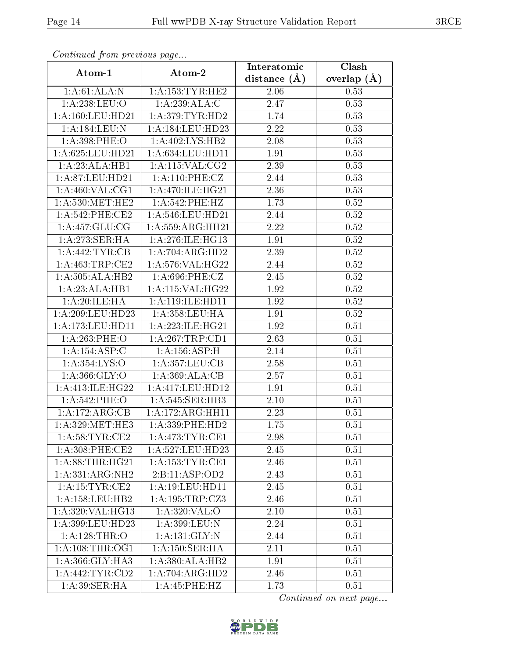| Continuea from previous page<br>Clash<br>Interatomic |                               |                |               |  |
|------------------------------------------------------|-------------------------------|----------------|---------------|--|
| Atom-1                                               | Atom-2                        | distance $(A)$ | overlap $(A)$ |  |
| 1: A:61: ALA: N                                      | 1: A: 153: TYR: HE2           | 2.06           | 0.53          |  |
| 1: A:238:LEU:O                                       | 1:A:239:ALA:C                 | 2.47           | 0.53          |  |
| 1: A:160:LEU:HD21                                    | 1: A:379: TYR: HD2            | 1.74           | 0.53          |  |
| 1:A:184:LEU:N                                        | 1:A:184:LEU:HD23              | 2.22           | 0.53          |  |
| 1:A:398:PHE:O                                        | 1:A:402:LYS:HB2               | 2.08           | 0.53          |  |
| 1:A:625:LEU:HD21                                     | 1:A:634:LEU:HD11              | 1.91           | 0.53          |  |
| 1:A:23:ALA:HB1                                       | $1:$ A:115:VAL:CG2            | 2.39           | 0.53          |  |
| 1:A:87:LEU:HD21                                      | 1: A:110: PHE: CZ             | 2.44           | 0.53          |  |
| 1: A:460: VAL:CG1                                    | 1: A:470: ILE: HG21           | 2.36           | 0.53          |  |
| 1: A:530:MET:HE2                                     | 1:A:542:PHE:HZ                | 1.73           | 0.52          |  |
| 1:A:542:PHE:CE2                                      | 1: A:546:LEU:HD21             | 2.44           | 0.52          |  |
| 1: A: 457: GLU: CG                                   | 1: A: 559: ARG: HH21          | 2.22           | 0.52          |  |
| 1:A:273:SER:HA                                       | 1:A:276:ILE:HG13              | 1.91           | 0.52          |  |
| 1:A:442:TYR:CB                                       | 1:A:704:ARG:HD2               | 2.39           | 0.52          |  |
| 1:A:463:TRP:CE2                                      | 1:A:576:VAL:HG22              | 2.44           | 0.52          |  |
| 1:A:505:ALA:HB2                                      | 1:A:696:PHE:CZ                | 2.45           | 0.52          |  |
| 1:A:23:ALA:HB1                                       | 1: A:115: VAL:HG22            | 1.92           | 0.52          |  |
| 1: A:20: ILE: HA                                     | 1: A:119: ILE: HD11           | 1.92           | 0.52          |  |
| 1:A:209:LEU:HD23                                     | 1:A:358:LEU:HA                | 1.91           | 0.52          |  |
| 1:A:173:LEU:HD11                                     | $1:A:223:ILE:H\overline{G21}$ | 1.92           | 0.51          |  |
| 1:A:263:PHE:O                                        | 1:A:267:TRP:CD1               | 2.63           | 0.51          |  |
| 1:A:154:ASP:C                                        | 1: A: 156: ASP:H              | 2.14           | 0.51          |  |
| 1:A:354:LYS:O                                        | 1:A:357:LEU:CB                | 2.58           | 0.51          |  |
| 1: A:366: GLY:O                                      | 1:A:369:ALA:CB                | 2.57           | 0.51          |  |
| 1: A:413: ILE: HG22                                  | 1:A:417:LEU:HD12              | 1.91           | 0.51          |  |
| 1:A:542:PHE:O                                        | 1: A:545: SER:HB3             | 2.10           | 0.51          |  |
| 1:A:172:ARG:CB                                       | 1:A:172:ARG:HH11              | 2.23           | 0.51          |  |
| 1: A:329: MET:HE3                                    | 1: A: 339: PHE: HD2           | 1.75           | 0.51          |  |
| 1: A:58:TYR:CE2                                      | 1: A:473: TYR: CE1            | 2.98           | 0.51          |  |
| $1: A:308:$ PHE:CE2                                  | 1:A:527:LEU:HD23              | 2.45           | 0.51          |  |
| 1: A:88:THR:HG21                                     | 1: A: 153: TYR: CE1           | 2.46           | 0.51          |  |
| 1:A:331:ARG:NH2                                      | 2:B:11:ASP:OD2                | 2.43           | 0.51          |  |
| 1:A:15:TYR:CE2                                       | 1: A:19: LEU: HD11            | 2.45           | 0.51          |  |
| 1: A: 158: LEU: HB2                                  | 1: A: 195: TRP: CZ3           | 2.46           | 0.51          |  |
| 1:A:320:VAL:HG13                                     | 1: A:320: VAL:O               | 2.10           | 0.51          |  |
| 1:A:399:LEU:HD23                                     | $1:$ A:399:LEU:N              | 2.24           | 0.51          |  |
| 1: A: 128: THR:O                                     | 1: A: 131: GLY:N              | 2.44           | 0.51          |  |
| 1: A:108:THR:OG1                                     | $1:A:\overline{150:SER:HA}$   | 2.11           | 0.51          |  |
| 1: A: 366: GLY: HA3                                  | 1:A:380:ALA:HB2               | 1.91           | 0.51          |  |
| 1: A:442:TYR:CD2                                     | 1:A:704:ARG:HD2               | 2.46           | 0.51          |  |
| 1: A:39: SER: HA                                     | 1:A:45:PHE:HZ                 | 1.73           | 0.51          |  |

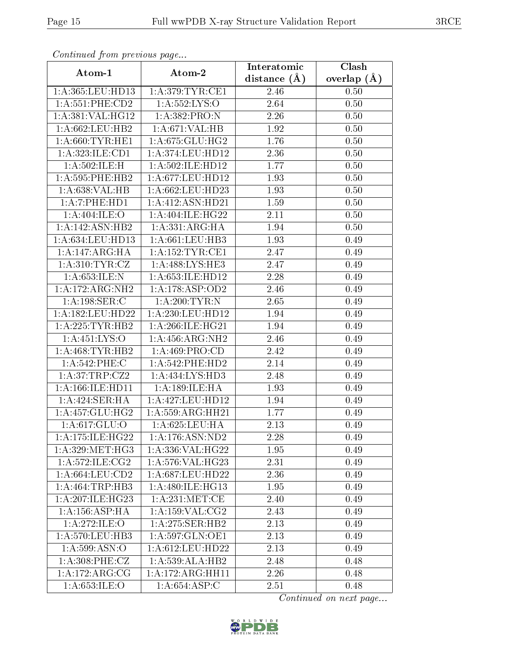| Continuea from previous page |                                      | Interatomic    | Clash         |
|------------------------------|--------------------------------------|----------------|---------------|
| Atom-1                       | Atom-2                               | distance $(A)$ | overlap $(A)$ |
| 1: A:365:LEU:HD13            | 1: A:379: TYR: CE1                   | 2.46           | 0.50          |
| 1: A: 551: PHE: CD2          | 1: A: 552: LYS: O                    | 2.64           | 0.50          |
| 1:A:381:VAL:HG12             | 1:A:382:PRO:N                        | 2.26           | 0.50          |
| 1:A:662:LEU:HB2              | 1:A:671:VAL:HB                       | 1.92           | 0.50          |
| 1: A:660:TYR:HE1             | 1: A:675: GLU: HG2                   | 1.76           | 0.50          |
| 1:A:323:ILE:CD1              | 1: A:374:LEU:HD12                    | 2.36           | 0.50          |
| 1:A:502:ILE:H                | 1:A:502:ILE:HD12                     | 1.77           | 0.50          |
| 1: A:595:PHE:HB2             | $1:\overline{A}:677:\text{LEU}:HD12$ | 1.93           | 0.50          |
| 1: A:638: VAL:HB             | 1: A:662:LEU:HD23                    | 1.93           | 0.50          |
| 1:A:7:PHE:HD1                | 1:A:412:ASN:HD21                     | 1.59           | 0.50          |
| 1:A:404:ILE:O                | 1: A:404: ILE: HG22                  | 2.11           | 0.50          |
| 1:A:142:ASN:HB2              | 1:A:331:ARG:HA                       | 1.94           | 0.50          |
| 1: A:634:LEU:HD13            | 1: A:661:LEU:HB3                     | 1.93           | 0.49          |
| 1:A:147:ARG:HA               | 1: A: 152: TYR: CE1                  | 2.47           | 0.49          |
| 1: A:310: TYR: CZ            | 1:A:488:LYS:HE3                      | 2.47           | 0.49          |
| 1: A:653: ILE:N              | 1: A:653: ILE: HD12                  | 2.28           | 0.49          |
| 1:A:172:ARG:NH2              | 1:A:178:ASP:OD2                      | 2.46           | 0.49          |
| 1:A:198:SER:C                | 1: A:200:TYR:N                       | 2.65           | 0.49          |
| 1:A:182:LEU:HD22             | 1:A:230:LEU:HD12                     | 1.94           | 0.49          |
| 1:A:225:TYR:HB2              | 1: A:266: ILE: HG <sub>21</sub>      | 1.94           | 0.49          |
| 1:A:451:LYS:O                | 1: A: 456: ARG: NH2                  | 2.46           | 0.49          |
| 1:A:468:TYR:HB2              | 1: A:469: PRO:CD                     | 2.42           | 0.49          |
| 1:A:542:PHE:C                | 1: A:542:PHE:HD2                     | 2.14           | 0.49          |
| 1:A:37:TRP:CZ2               | 1:A:434:LYS:HD3                      | 2.48           | 0.49          |
| 1:A:166:ILE:HD11             | 1:A:189:ILE:HA                       | 1.93           | 0.49          |
| 1: A:424: SER: HA            | 1:A:427:LEU:HD12                     | 1.94           | 0.49          |
| 1: A: 457: GLU: HG2          | 1:A:559:ARG:HH21                     | 1.77           | 0.49          |
| 1: A:617: GLU:O              | 1:A:625:LEU:HA                       | 2.13           | 0.49          |
| 1:A:175:ILE:HG22             | 1:A:176:ASN:ND2                      | 2.28           | 0.49          |
| 1: A:329: MET:HG3            | 1: A: 336: VAL:HG22                  | 1.95           | 0.49          |
| 1: A:572: ILE: CG2           | 1: A:576: VAL:HG23                   | 2.31           | 0.49          |
| 1: A:664:LEU:CD2             | 1: A:687:LEU:HD22                    | 2.36           | 0.49          |
| 1:A:464:TRP:HB3              | 1: A:480: ILE: HG13                  | 1.95           | 0.49          |
| 1:A:207:ILE:HG23             | 1: A:231:MET:CE                      | 2.40           | 0.49          |
| 1: A: 156: ASP:HA            | 1: A:159: VAL:CG2                    | 2.43           | 0.49          |
| 1:A:272:ILE:O                | 1:A:275:SER:HB2                      | 2.13           | 0.49          |
| 1: A:570: LEU:HB3            | 1:A:597:GLN:OE1                      | 2.13           | 0.49          |
| 1:A:599:ASN:O                | 1:A:612:LEU:HD22                     | 2.13           | 0.49          |
| 1: A:308: PHE: CZ            | 1:A:539:ALA:HB2                      | 2.48           | 0.48          |
| 1: A:172:ARG:CG              | 1:A:172:ARG:HH11                     | 2.26           | 0.48          |
| 1: A:653: ILE: O             | 1: A:654: ASP:C                      | 2.51           | 0.48          |

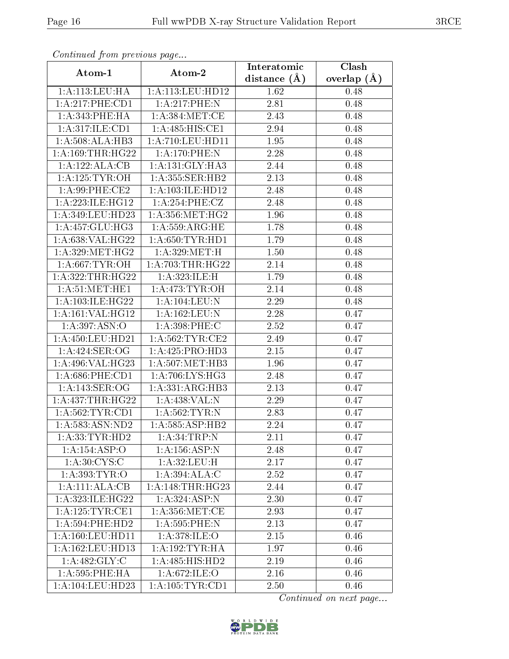| Continuea from previous page      |                      | Interatomic    | $\overline{\text{Clash}}$ |
|-----------------------------------|----------------------|----------------|---------------------------|
| Atom-1                            | Atom-2               | distance $(A)$ | overlap $(A)$             |
| 1:A:113:LEU:HA                    | 1:A:113:LEU:HD12     | 1.62           | 0.48                      |
| 1:A:217:PHE:CD1                   | 1:A:217:PHE:N        | 2.81           | 0.48                      |
| 1: A:343: PHE: HA                 | 1: A:384:MET:CE      | 2.43           | 0.48                      |
| 1:A:317:ILE:CD1                   | 1:A:485:HIS:CE1      | 2.94           | 0.48                      |
| 1:A:508:ALA:HB3                   | 1:A:710:LEU:HDI1     | 1.95           | 0.48                      |
| 1: A: 169: THR: HG22              | 1:A:170:PHE:N        | 2.28           | 0.48                      |
| 1:A:122:ALA:CB                    | 1:A:131:GLY:HA3      | 2.44           | 0.48                      |
| 1: A:125: TYR:OH                  | 1: A: 355: SER: HB2  | 2.13           | 0.48                      |
| 1: A:99: PHE:CE2                  | 1: A: 103: ILE: HD12 | 2.48           | 0.48                      |
| 1: A:223: ILE: HG12               | 1:A:254:PHE:CZ       | 2.48           | 0.48                      |
| 1:A:349:LEU:HD23                  | 1: A: 356: MET:HG2   | 1.96           | 0.48                      |
| 1:A:457:GLU:HG3                   | 1: A: 559: ARG: HE   | 1.78           | 0.48                      |
| 1:A:638:VAL:HG22                  | 1: A:650: TYR: HD1   | 1.79           | 0.48                      |
| 1: A:329: MET:HG2                 | 1: A:329:MET:H       | 1.50           | 0.48                      |
| 1: A:667:TYR:OH                   | 1: A:703:THR:HG22    | 2.14           | 0.48                      |
| 1:A:322:THR:HG22                  | 1:A:323:ILE:H        | 1.79           | 0.48                      |
| 1: A:51: MET:HE1                  | 1: A:473: TYR:OH     | 2.14           | 0.48                      |
| 1: A:103: ILE: HG22               | 1: A: 104: LEU: N    | 2.29           | 0.48                      |
| 1:A:161:VAL:HG12                  | 1:A:162:LEU:N        | 2.28           | 0.47                      |
| 1:A:397:ASN:O                     | 1:A:398:PHE:C        | 2.52           | 0.47                      |
| 1: A:450:LEU:HD21                 | 1: A:562:TTTR:CE2    | 2.49           | 0.47                      |
| 1:A:424:SER:OG                    | 1:A:425:PRO:HD3      | 2.15           | 0.47                      |
| 1:A:496:VAL:HG23                  | 1: A:507: MET:HB3    | 1.96           | 0.47                      |
| $1: A:686:$ PHE: $\overline{CD1}$ | 1: A:706: LYS: HG3   | 2.48           | 0.47                      |
| 1: A:143: SER:OG                  | 1:A:331:ARG:HB3      | 2.13           | 0.47                      |
| 1:A:437:THR:HG22                  | 1:A:438:VAL:N        | 2.29           | 0.47                      |
| 1: A:562:TYR:CD1                  | 1: A:562:TYR:N       | 2.83           | 0.47                      |
| 1:A:583:ASN:ND2                   | 1:A:585:ASP:HB2      | 2.24           | 0.47                      |
| 1: A: 33: TYR: HD2                | 1: A:34:TRP:N        | 2.11           | 0.47                      |
| 1:A:154:ASP:O                     | 1: A: 156: ASP: N    | 2.48           | 0.47                      |
| 1: A:30:CYS:C                     | 1: A:32: LEU:H       | 2.17           | 0.47                      |
| 1: A: 393: TYR: O                 | 1:A:394:ALA:C        | 2.52           | 0.47                      |
| 1:A:111:ALA:CB                    | 1:A:148:THR:HG23     | 2.44           | 0.47                      |
| 1:A:323:ILE:HG22                  | 1:A:324:ASP:N        | 2.30           | 0.47                      |
| 1: A: 125: TYR: CE1               | 1: A: 356: MET:CE    | 2.93           | 0.47                      |
| 1: A:594: PHE:HD2                 | 1:A:595:PHE:N        | 2.13           | 0.47                      |
| 1: A:160:LEU:HD11                 | 1:A:378:ILE:O        | 2.15           | 0.46                      |
| 1:A:162:LEU:HD13                  | 1: A: 192: TYR: HA   | 1.97           | 0.46                      |
| 1: A:482: GLY: C                  | 1:A:485:HIS:HD2      | 2.19           | 0.46                      |
| 1:A:595:PHE:HA                    | 1:A:672:ILE:O        | 2.16           | 0.46                      |
| 1:A:104:LEU:HD23                  | 1: A:105: TYR: CD1   | 2.50           | 0.46                      |

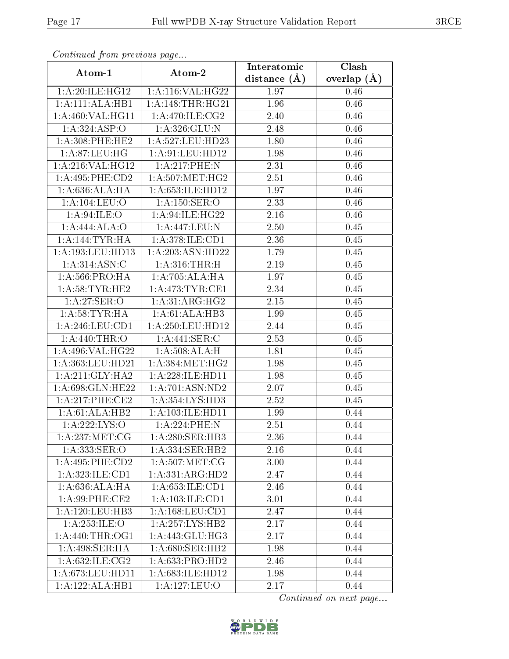| Continuea jioin pievivus page |                               | Interatomic       | Clash         |
|-------------------------------|-------------------------------|-------------------|---------------|
| Atom-1                        | Atom-2                        | distance $(\AA)$  | overlap $(A)$ |
| 1:A:20:ILE:HG12               | 1:A:116:VAL:HG22              | 1.97              | 0.46          |
| 1:A:111:ALA:HBI               | 1: A:148:THR:HG21             | 1.96              | $0.46\,$      |
| 1:A:460:VAL:HG11              | 1:A:470:ILE:CG2               | 2.40              | 0.46          |
| 1:A:324:ASP:O                 | 1:A:326:GLU:N                 | 2.48              | 0.46          |
| 1: A:308: PHE:HE2             | 1:A:527:LEU:HD23              | 1.80              | 0.46          |
| 1:A:87:LEU:HG                 | 1:A:91:LEU:HD12               | 1.98              | 0.46          |
| 1:A:216:VAL:HG12              | 1:A:217:PHE:N                 | 2.31              | 0.46          |
| 1: A:495:PHE:CD2              | 1: A:507: MET:HG2             | 2.51              | 0.46          |
| 1: A:636:ALA:HA               | $1:A:653:I\overline{LE:HD12}$ | 1.97              | 0.46          |
| 1: A: 104: LEU: O             | 1:A:150:SER:O                 | 2.33              | 0.46          |
| 1: A:94:ILE:O                 | 1: A:94:ILE: HG22             | 2.16              | 0.46          |
| 1:A:444:ALA:O                 | 1:A:447:LEU:N                 | 2.50              | 0.45          |
| 1: A:144:TYR:HA               | 1:A:378:ILE:CD1               | 2.36              | 0.45          |
| 1: A: 193: LEU: HD13          | 1:A:203:ASN:HD22              | 1.79              | 0.45          |
| 1: A:314: ASN: C              | 1: A:316:THR:H                | 2.19              | 0.45          |
| 1: A:566:PRO:HA               | 1:A:705:ALA:HA                | 1.97              | 0.45          |
| 1: A:58:TYR:HE2               | 1: A:473: TYR: CE1            | 2.34              | 0.45          |
| 1: A:27: SER:O                | 1: A:31: ARG:HG2              | 2.15              | 0.45          |
| 1: A:58:TYR:HA                | 1:A:61:ALA:HB3                | 1.99              | 0.45          |
| 1: A:246:LEU:CD1              | 1: A:250:LEU:HD12             | 2.44              | 0.45          |
| 1:A:440:THR:O                 | 1:A:441:SER:C                 | 2.53              | 0.45          |
| 1:A:496:VAL:HG22              | 1: A:508:ALA:H                | 1.81              | 0.45          |
| 1:A:363:LEU:HD21              | 1: A: 384:MET:HG2             | 1.98              | 0.45          |
| 1: A:211: GLY:HA2             | 1:A:228:ILE:HD11              | 1.98              | 0.45          |
| 1:A:698:GLN:HE22              | 1:A:701:ASN:ND2               | $\overline{2}.07$ | 0.45          |
| $1: A:217:$ PHE:CE2           | 1:A:354:LYS:HD3               | $\overline{2}.52$ | 0.45          |
| 1:A:61:ALA:HB2                | 1:A:103:ILE:HD11              | 1.99              | 0.44          |
| 1:A:222:LYS:O                 | 1:A:224:PHE:N                 | 2.51              | 0.44          |
| 1: A:237: MET:CG              | 1: A:280: SER:HB3             | 2.36              | 0.44          |
| 1: A: 333: SER: O             | 1: A: 334: SER: HB2           | 2.16              | 0.44          |
| $1:A:495:PHE:\overline{CD2}$  | 1: A:507: MET:CG              | 3.00              | 0.44          |
| 1: A: 323: ILE: CD1           | 1:A:331:ARG:HD2               | 2.47              | 0.44          |
| 1: A:636:ALA:HA               | 1: A: 653: ILE: CD1           | 2.46              | 0.44          |
| 1: A:99: PHE:CE2              | 1: A: 103: ILE: CD1           | 3.01              | 0.44          |
| 1: A: 120: LEU: HB3           | 1: A: 168: LEU: CD1           | 2.47              | 0.44          |
| 1:A:253:ILE:O                 | $1:\overline{A:257:LYS:HB2}$  | 2.17              | 0.44          |
| 1: A:440:THR:OG1              | 1: A: 443: GLU: HG3           | 2.17              | 0.44          |
| 1:A:498:SER:HA                | 1:A:680:SER:HB2               | 1.98              | 0.44          |
| 1:A:632:ILE:CG2               | 1: A: 633: PRO: HD2           | 2.46              | 0.44          |
| 1:A:673:LEU:HD11              | 1: A:683: ILE: HD12           | 1.98              | 0.44          |
| 1:A:122:ALA:HB1               | 1: A: 127: LEU: O             | 2.17              | 0.44          |

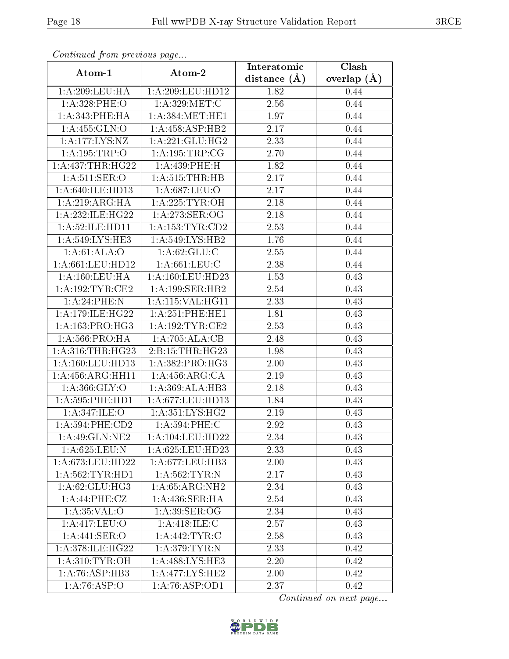| Communaca from previous page         |                     | Interatomic      | Clash           |
|--------------------------------------|---------------------|------------------|-----------------|
| Atom-1                               | Atom-2              | distance $(\AA)$ | overlap $(\AA)$ |
| 1: A:209:LEU:HA                      | 1:A:209:LEU:HD12    | 1.82             | 0.44            |
| 1:A:328:PHE:O                        | 1:A:329:MET:C       | 2.56             | 0.44            |
| 1: A:343: PHE: HA                    | 1: A: 384: MET: HE1 | 1.97             | 0.44            |
| 1: A: 455: GLN:O                     | 1:A:458:ASP:HB2     | 2.17             | 0.44            |
| $1: A:177: \overline{\text{LYS:NZ}}$ | 1:A:221:GLU:HG2     | 2.33             | 0.44            |
| 1:A:195:TRP:O                        | 1: A: 195: TRP: CG  | 2.70             | 0.44            |
| 1: A: 437: THR: HG22                 | 1: A:439: PHE:H     | 1.82             | 0.44            |
| 1: A:511: SER:O                      | $1:$ A:515:THR:HB   | 2.17             | 0.44            |
| 1:A:640:ILE:HD13                     | 1:A:687:LEU:O       | 2.17             | 0.44            |
| 1: A:219: ARG: HA                    | 1: A:225: TYR:OH    | 2.18             | 0.44            |
| 1:A:232:ILE:HG22                     | 1: A:273: SER:OG    | 2.18             | 0.44            |
| 1: A:52: ILE: HD11                   | 1: A: 153: TYR: CD2 | 2.53             | 0.44            |
| 1:A:549:LYS:HE3                      | 1:A:549:LYS:HB2     | 1.76             | 0.44            |
| 1: A:61: ALA:O                       | 1: A:62: GLU:C      | 2.55             | 0.44            |
| 1:A:661:LEU:HD12                     | 1: A:661:LEU:C      | 2.38             | 0.44            |
| 1: A: 160: LEU: HA                   | 1:A:160:LEU:HD23    | 1.53             | 0.43            |
| 1:A:192:TYR:CE2                      | 1:A:199:SER:HB2     | 2.54             | 0.43            |
| 1:A:24:PHE:N                         | 1:A:115:VAL:HG11    | 2.33             | 0.43            |
| 1:A:179:ILE:HG22                     | 1:A:251:PHE:HE1     | 1.81             | 0.43            |
| 1: A: 163: PRO:HG3                   | 1: A: 192: TYR: CE2 | 2.53             | 0.43            |
| 1: A:566:PRO:HA                      | 1:A:705:ALA:CB      | 2.48             | 0.43            |
| 1: A:316:THR:HG23                    | 2:B:15:THR:HG23     | 1.98             | 0.43            |
| 1: A:160:LEU:HD13                    | 1: A: 382: PRO:HG3  | 2.00             | 0.43            |
| 1:A:456:ARG:HH11                     | 1: A: 456: ARG: CA  | 2.19             | 0.43            |
| 1: A: 366: GLY: O                    | 1:A:369:ALA:HB3     | 2.18             | 0.43            |
| 1: A:595: PHE: HD1                   | 1:A:677:LEU:HD13    | 1.84             | 0.43            |
| 1:A:347:ILE:O                        | 1: A:351:LYS:HG2    | 2.19             | 0.43            |
| $1:A:594:PHE:\overline{CD2}$         | 1: A:594:PHE: C     | 2.92             | 0.43            |
| 1:A:49:GLN:NE2                       | 1:A:104:LEU:HD22    | 2.34             | 0.43            |
| 1: A:625:LEU: N                      | 1:A:625:LEU:HD23    | 2.33             | 0.43            |
| 1:A:673:LEU:HD22                     | 1: A:677:LEU:HB3    | 2.00             | 0.43            |
| 1: A:562:TYR:HD1                     | 1: A:562:TYR:N      | 2.17             | 0.43            |
| 1: A:62: GLU:HG3                     | 1: A:65: ARG: NH2   | 2.34             | 0.43            |
| 1:A:44:PHE:CZ                        | 1: A:436: SER: HA   | 2.54             | 0.43            |
| 1: A:35:VAL:O                        | $1:$ A:39:SER:OG    | 2.34             | 0.43            |
| 1:A:417:LEU:O                        | 1: A:418: ILE:C     | 2.57             | 0.43            |
| 1:A:441:SER:O                        | 1: A:442:TYR:C      | 2.58             | 0.43            |
| 1:A:378:ILE:HG22                     | 1:A:379:TYR:N       | 2.33             | 0.42            |
| 1: A:310: TYR:OH                     | 1: A:488: LYS: HE3  | 2.20             | 0.42            |
| 1:A:76:ASP:HB3                       | 1:A:477:LYS:HE2     | 2.00             | 0.42            |
| 1:A:76:ASP:O                         | 1:A:76:ASP:OD1      | 2.37             | 0.42            |

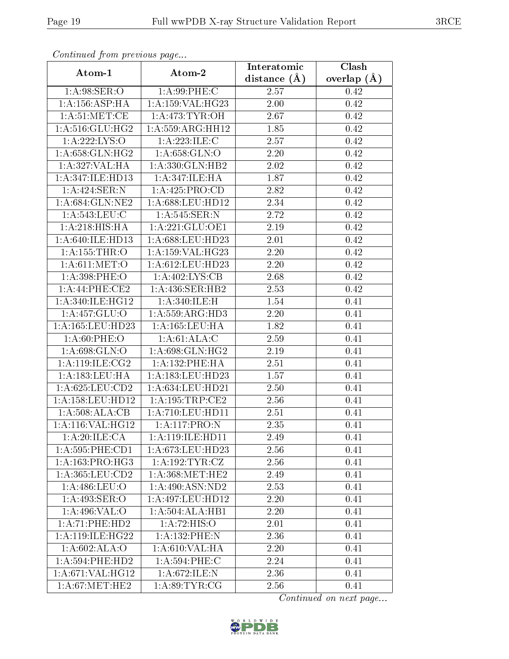| сонинией јтот ртеvиоиз раде |                      | Interatomic    | Clash         |
|-----------------------------|----------------------|----------------|---------------|
| Atom-1                      | Atom-2               | distance $(A)$ | overlap $(A)$ |
| 1: A:98: SER:O              | 1: A:99:PHE: C       | 2.57           | 0.42          |
| 1: A: 156: ASP:HA           | 1:A:159:VAL:HG23     | 2.00           | 0.42          |
| 1: A:51: MET:CE             | 1: A:473: TYR: OH    | 2.67           | 0.42          |
| 1: A:516: GLU: HG2          | 1: A: 559: ARG: HH12 | 1.85           | 0.42          |
| 1:A:222:LYS:O               | 1:A:223:ILE:C        | 2.57           | 0.42          |
| 1:A:658:GLN:HG2             | 1: A:658: GLN:O      | 2.20           | 0.42          |
| 1:A:327:VAL:HA              | 1:A:330:GLN:HB2      | 2.02           | 0.42          |
| 1:A:347:ILE:HD13            | 1:A:347:ILE:HA       | 1.87           | 0.42          |
| 1:A:424:SER:N               | 1: A: 425: PRO:CD    | 2.82           | 0.42          |
| 1: A:684: GLN:NE2           | 1:A:688:LEU:HD12     | 2.34           | 0.42          |
| 1: A:543:LEU:C              | 1: A:545: SER: N     | 2.72           | 0.42          |
| 1: A:218: HIS: HA           | 1:A:221:GLU:OE1      | 2.19           | 0.42          |
| 1: A:640: ILE:HD13          | 1: A:688:LEU:HD23    | 2.01           | 0.42          |
| 1:A:155:THR:O               | 1: A:159: VAL:HG23   | 2.20           | 0.42          |
| 1: A:611: MET:O             | 1:A:612:LEU:HD23     | 2.20           | 0.42          |
| 1:A:398:PHE:O               | 1:A:402:LYS:CB       | 2.68           | 0.42          |
| 1:A:44:PHE:CE2              | 1:A:436:SER:HB2      | 2.53           | 0.42          |
| 1: A:340: ILE: HG12         | 1:A:340:ILE:H        | 1.54           | 0.41          |
| 1: A: 457: GLU:O            | 1: A: 559: ARG: HD3  | $2.20\,$       | 0.41          |
| 1: A: 165: LEU: HD23        | 1: A: 165: LEU: HA   | 1.82           | 0.41          |
| 1: A:60:PHE:O               | 1:A:61:ALA:C         | 2.59           | 0.41          |
| 1:A:698:GLN:O               | 1: A:698: GLN: HG2   | 2.19           | 0.41          |
| 1: A:119: ILE: CG2          | 1:A:132:PHE:HA       | 2.51           | 0.41          |
| 1:A:183:LEU:HA              | 1:A:183:LEU:HD23     | 1.57           | 0.41          |
| 1: A:625: LEU:CD2           | 1:A:634:LEU:HD21     | 2.50           | 0.41          |
| 1:A:158:LEU:HD12            | 1: A: 195: TRP: CE2  | 2.56           | 0.41          |
| 1: A:508:ALA:CB             | 1:A:710:LEU:HD11     | 2.51           | 0.41          |
| 1:A:116:VAL:HG12            | 1:A:117:PRO:N        | 2.35           | 0.41          |
| 1:A:20:ILE:CA               | 1: A:119: ILE: HD11  | 2.49           | 0.41          |
| 1: A:595: PHE:CD1           | 1: A:673:LEU:HD23    | 2.56           | 0.41          |
| 1: A: 163: PRO:HG3          | 1: A: 192: TYR: CZ   | 2.56           | 0.41          |
| $1: A: 365:$ LEU: $CD2$     | 1: A:368:MET:HE2     | 2.49           | 0.41          |
| 1: A:486: LEU:O             | 1:A:490:ASN:ND2      | 2.53           | 0.41          |
| 1:A:493:SER:O               | 1:A:497:LEU:HD12     | 2.20           | 0.41          |
| 1: A:496: VAL:O             | 1:A:504:ALA:HB1      | 2.20           | 0.41          |
| 1:A:71:PHE:HD2              | 1:A:72:HIS:O         | 2.01           | 0.41          |
| 1: A:119: ILE: HG22         | 1:A:132:PHE:N        | 2.36           | 0.41          |
| 1: A:602: ALA:O             | 1: A:610: VAL: HA    | 2.20           | 0.41          |
| 1: A:594: PHE:HD2           | 1: A:594:PHE: C      | 2.24           | 0.41          |
| 1: A:671: VAL:HGI2          | 1:A:672:ILE:N        | 2.36           | 0.41          |
| 1: A:67: MET:HE2            | 1: A:89:TYR:CG       | 2.56           | 0.41          |

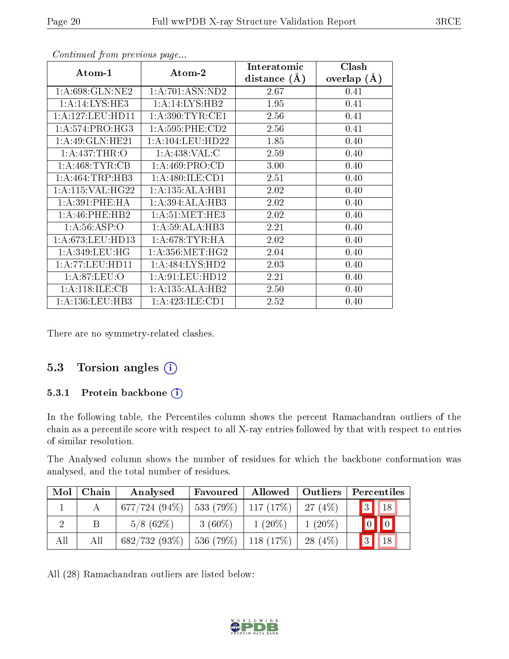| Atom-1              | Atom-2                                  | Interatomic      | Clash         |
|---------------------|-----------------------------------------|------------------|---------------|
|                     |                                         | distance $(\AA)$ | overlap $(A)$ |
| 1: A:698: GLN: NE2  | 1:A:701:ASN:ND2                         | 2.67             | 0.41          |
| 1:A:14:LYS:HE3      | 1:A:14:LYS:HB2                          | 1.95             | 0.41          |
| 1: A:127: LEU: HD11 | 1: A:390:TYR:CE1                        | 2.56             | 0.41          |
| 1: A:574: PRO:HG3   | 1: A:595:PHE:CD2                        | 2.56             | 0.41          |
| 1:A:49:GLN:HE21     | 1: A: 104: LEU: HD22                    | 1.85             | 0.40          |
| 1: A: 437: THR:O    | 1:A:438:VAL:CC                          | 2.59             | 0.40          |
| 1: A:468:TYR:CB     | 1: A:469: PRO:CD                        | 3.00             | 0.40          |
| 1:A:464:TRP:HB3     | 1:A:480:ILE:CD1                         | 2.51             | 0.40          |
| 1: A:115: VAL:HG22  | 1:A:135:ALA:HB1                         | 2.02             | 0.40          |
| 1: A:391: PHE: HA   | 1:A:394:ALA:HB3                         | 2.02             | 0.40          |
| 1: A:46: PHE:HB2    | 1: A:51: MET:HE3                        | 2.02             | 0.40          |
| 1: A:56:ASP:O       | 1: A:59: ALA:HB3                        | 2.21             | 0.40          |
| 1: A:673:LEU:HD13   | 1: A:678:TYR:HA                         | 2.02             | 0.40          |
| 1: A:349:LEU:HG     | $1:\overline{A}:356:\overline{MET:HG2}$ | 2.04             | 0.40          |
| 1: A: 77: LEU: HD11 | 1:A:484:LYS:HD2                         | 2.03             | 0.40          |
| 1: A:87:LEU:O       | 1:A:91:LEU:HD12                         | 2.21             | 0.40          |
| 1: A:118: ILE: CB   | 1:A:135:ALA:HB2                         | 2.50             | 0.40          |
| 1: A: 136: LEU: HB3 | 1: A:423: ILE: CD1                      | 2.52             | 0.40          |

There are no symmetry-related clashes.

#### 5.3 Torsion angles  $(i)$

#### 5.3.1 Protein backbone (i)

In the following table, the Percentiles column shows the percent Ramachandran outliers of the chain as a percentile score with respect to all X-ray entries followed by that with respect to entries of similar resolution.

The Analysed column shows the number of residues for which the backbone conformation was analysed, and the total number of residues.

| $\operatorname{Mol}$ | Chain | Analysed        | Favoured                  | Allowed   Outliers                      |            |                                                                 | Percentiles |
|----------------------|-------|-----------------|---------------------------|-----------------------------------------|------------|-----------------------------------------------------------------|-------------|
|                      |       | $677/724(94\%)$ |                           | $533(79\%)$   117 $(17\%)$   27 $(4\%)$ |            | $\begin{array}{ c c c c c }\hline 3 & 18 \\ \hline \end{array}$ |             |
|                      | Β     | $5/8$ (62\%)    | $3(60\%)$                 | $1(20\%)$                               | $1(20\%)$  | $\boxed{0}$ $\boxed{0}$                                         |             |
| All                  | All   | 682/732 (93%)   | $-536(79\%)$   118 (17\%) |                                         | $-28(4\%)$ | 3 <br>$\vert$ 18                                                |             |

All (28) Ramachandran outliers are listed below:

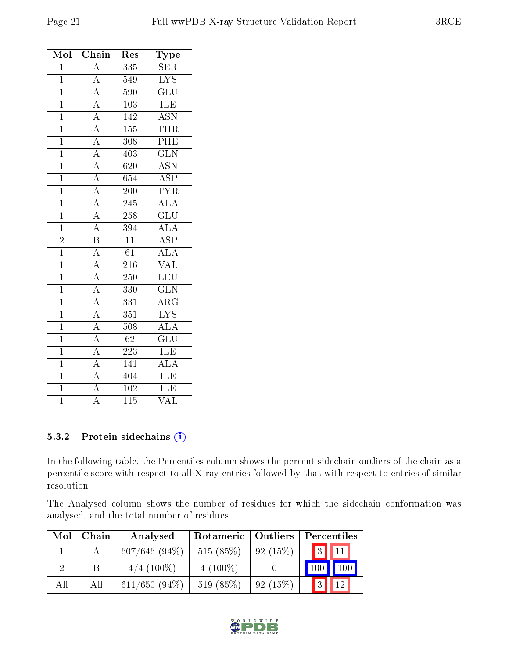| Mol            | Chain                                                                                                                                                                                                                   | $\operatorname{Res}% \left( \mathcal{N}\right) \equiv\operatorname{Res}(\mathcal{N}_{0})\cap\mathcal{N}_{1}$ | Type                    |
|----------------|-------------------------------------------------------------------------------------------------------------------------------------------------------------------------------------------------------------------------|--------------------------------------------------------------------------------------------------------------|-------------------------|
| $\overline{1}$ | $\overline{A}$                                                                                                                                                                                                          | $\overline{335}$                                                                                             | $\overline{\text{SER}}$ |
| $\overline{1}$ | $\overline{A}$                                                                                                                                                                                                          | 549                                                                                                          | <b>LYS</b>              |
| $\mathbf{1}$   |                                                                                                                                                                                                                         | 590                                                                                                          | GLU                     |
| $\mathbf{1}$   |                                                                                                                                                                                                                         | 103                                                                                                          | <b>ILE</b>              |
| $\mathbf{1}$   | $\frac{\overline{A}}{\overline{A}}$<br>$\frac{\overline{A}}{\overline{A}}$                                                                                                                                              | 142                                                                                                          | <b>ASN</b>              |
| $\overline{1}$ |                                                                                                                                                                                                                         | 155                                                                                                          | <b>THR</b>              |
| $\mathbf{1}$   |                                                                                                                                                                                                                         | 308                                                                                                          | PHE                     |
| $\mathbf{1}$   | $\frac{\overline{A}}{\overline{A}}$ $\frac{\overline{A}}{\overline{A}}$                                                                                                                                                 | 403                                                                                                          | $\overline{\text{GLN}}$ |
| $\overline{1}$ |                                                                                                                                                                                                                         | $\overline{620}$                                                                                             | $\overline{\text{ASN}}$ |
| $\mathbf{1}$   |                                                                                                                                                                                                                         | 654                                                                                                          | $\overline{\text{ASP}}$ |
| $\overline{1}$ |                                                                                                                                                                                                                         | $\overline{200}$                                                                                             | <b>TYR</b>              |
| $\overline{1}$ | $\frac{\overline{A}}{\overline{A}}$                                                                                                                                                                                     | 245                                                                                                          | <b>ALA</b>              |
| $\overline{1}$ | $\frac{\overline{A}}{\overline{A}}$ $\frac{\overline{B}}{\overline{A}}$                                                                                                                                                 | 258                                                                                                          | $\overline{\text{GLU}}$ |
| $\mathbf{1}$   |                                                                                                                                                                                                                         | 394                                                                                                          | ALA                     |
| $\frac{2}{1}$  |                                                                                                                                                                                                                         | $\overline{11}$                                                                                              | $\overline{\text{ASP}}$ |
|                |                                                                                                                                                                                                                         | $\overline{61}$                                                                                              | $\overline{\rm ALA}$    |
| $\overline{1}$ |                                                                                                                                                                                                                         | 216                                                                                                          | <b>VAL</b>              |
| $\overline{1}$ |                                                                                                                                                                                                                         | $\overline{250}$                                                                                             | LEU                     |
| $\overline{1}$ |                                                                                                                                                                                                                         | 330                                                                                                          | $\overline{\text{GLN}}$ |
| $\overline{1}$ |                                                                                                                                                                                                                         | 331                                                                                                          | $\overline{\rm{ARG}}$   |
| $\mathbf{1}$   |                                                                                                                                                                                                                         | 351                                                                                                          | $\overline{\text{LYS}}$ |
| $\mathbf 1$    |                                                                                                                                                                                                                         | 508                                                                                                          | ALA                     |
| $\overline{1}$ |                                                                                                                                                                                                                         | $\overline{62}$                                                                                              | $\overline{{\rm GLU}}$  |
| $\overline{1}$ | $\frac{\overline{A}}{\overline{A}}$ $\frac{\overline{A}}{\overline{A}}$ $\frac{\overline{A}}{\overline{A}}$ $\frac{\overline{A}}{\overline{A}}$ $\frac{\overline{A}}{\overline{A}}$ $\frac{\overline{A}}{\overline{A}}$ | 223                                                                                                          | ILE                     |
| $\mathbf{1}$   |                                                                                                                                                                                                                         | 141                                                                                                          | $\overline{\rm ALA}$    |
| $\overline{1}$ |                                                                                                                                                                                                                         | 404                                                                                                          | ILE                     |
| $\overline{1}$ | $\overline{A}$                                                                                                                                                                                                          | $102\,$                                                                                                      | ILE                     |
| $\overline{1}$ | $\overline{\rm A}$                                                                                                                                                                                                      | $\overline{115}$                                                                                             | $\overline{\text{VAL}}$ |

#### 5.3.2 Protein sidechains (i)

In the following table, the Percentiles column shows the percent sidechain outliers of the chain as a percentile score with respect to all X-ray entries followed by that with respect to entries of similar resolution.

The Analysed column shows the number of residues for which the sidechain conformation was analysed, and the total number of residues.

| Mol | Chain | Analysed         | Outliers<br>Rotameric |         | Percentiles           |  |  |
|-----|-------|------------------|-----------------------|---------|-----------------------|--|--|
|     |       | $607/646(94\%)$  | 515 $(85%)$           | 92(15%) | $3\sqrt{11}$          |  |  |
|     |       | $4/4$ (100\%)    | $4(100\%)$            |         | $100\,$<br>100        |  |  |
| All | Аll   | $611/650$ (94\%) | 519 (85%)             | 92(15%) | 3 <br>12 <sub>1</sub> |  |  |

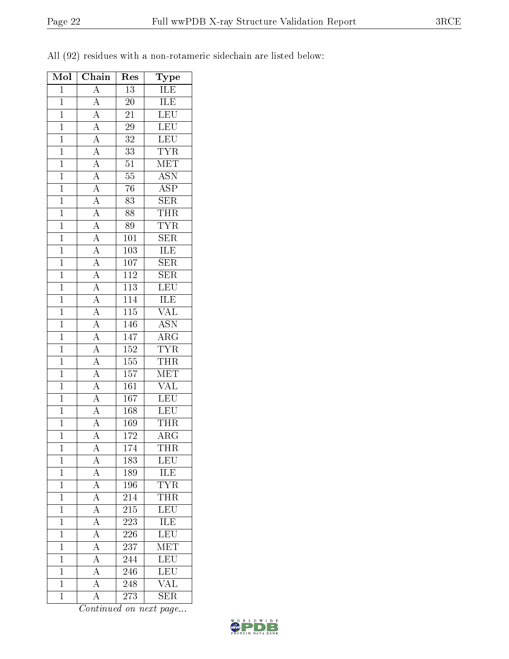| All (92) residues with a non-rotameric sidechain are listed below: |
|--------------------------------------------------------------------|
|--------------------------------------------------------------------|

| Mol            | Chain                                                                                                                                                                                                                                     | Res              | Type                                       |
|----------------|-------------------------------------------------------------------------------------------------------------------------------------------------------------------------------------------------------------------------------------------|------------------|--------------------------------------------|
| $\overline{1}$ | $\overline{A}$                                                                                                                                                                                                                            | $\overline{13}$  | <b>ILE</b>                                 |
| $\mathbf{1}$   |                                                                                                                                                                                                                                           | 20               | ILE                                        |
| $\overline{1}$ | $\frac{\overline{A}}{\overline{A}}$                                                                                                                                                                                                       | $\overline{21}$  | $\overline{\text{LEU}}$                    |
| $\mathbf{1}$   |                                                                                                                                                                                                                                           | $2\overline{9}$  | $\overline{\text{LEU}}$                    |
| $\overline{1}$ |                                                                                                                                                                                                                                           | $\overline{32}$  | LEU                                        |
| $\overline{1}$ |                                                                                                                                                                                                                                           | $\overline{33}$  | <b>TYR</b>                                 |
| $\overline{1}$ |                                                                                                                                                                                                                                           | $\overline{51}$  | <b>MET</b>                                 |
| $\overline{1}$ |                                                                                                                                                                                                                                           | $\overline{55}$  | $\overline{\mathrm{ASN}}$                  |
| $\overline{1}$ |                                                                                                                                                                                                                                           | 76               | $\overline{\text{ASP}}$                    |
| $\overline{1}$ |                                                                                                                                                                                                                                           | $\overline{83}$  | $\overline{\text{SER}}$                    |
| $\overline{1}$ |                                                                                                                                                                                                                                           | 88               | <b>THR</b>                                 |
| $\mathbf{1}$   |                                                                                                                                                                                                                                           | 89               | <b>TYR</b>                                 |
| $\mathbf{1}$   |                                                                                                                                                                                                                                           | 101              | $\overline{\text{SER}}$                    |
| $\overline{1}$ | $\frac{\overline{A}}{\overline{A}}\frac{\overline{A}}{\overline{A}}\frac{\overline{A}}{\overline{A}}\frac{\overline{A}}{\overline{A}}\frac{\overline{A}}{\overline{A}}\frac{\overline{A}}{\overline{A}}\frac{\overline{A}}{\overline{A}}$ | $\overline{10}3$ | <b>ILE</b>                                 |
| $\overline{1}$ |                                                                                                                                                                                                                                           | $\overline{107}$ | $\overline{\text{SER}}$                    |
| $\mathbf{1}$   |                                                                                                                                                                                                                                           | 112              | <b>SER</b>                                 |
| $\mathbf{1}$   |                                                                                                                                                                                                                                           | $\overline{113}$ | LEU                                        |
| $\overline{1}$ | $\frac{\overline{A}}{\overline{A}}$ $\frac{\overline{A}}{\overline{A}}$ $\frac{\overline{A}}{\overline{A}}$ $\frac{\overline{A}}{\overline{A}}$                                                                                           | 114              | <b>ILE</b>                                 |
| $\overline{1}$ |                                                                                                                                                                                                                                           | $\overline{115}$ | $\overline{\text{VAL}}$                    |
| $\overline{1}$ |                                                                                                                                                                                                                                           | 146              | $\overline{\text{ASN}}$                    |
| $\mathbf{1}$   |                                                                                                                                                                                                                                           | 147              |                                            |
| $\overline{1}$ |                                                                                                                                                                                                                                           | $\overline{152}$ | $\frac{\overline{\text{ARG}}}{\text{TYR}}$ |
| $\overline{1}$ |                                                                                                                                                                                                                                           | 155              | <b>THR</b>                                 |
| $\overline{1}$ |                                                                                                                                                                                                                                           | 157              | MET                                        |
| $\overline{1}$ |                                                                                                                                                                                                                                           | 161              | <b>VAL</b>                                 |
| $\overline{1}$ | $\overline{A}$                                                                                                                                                                                                                            | 167              | LEU                                        |
| $\overline{1}$ |                                                                                                                                                                                                                                           | 168              | $\overline{\text{LEU}}$                    |
| $\overline{1}$ | $\frac{\overline{A}}{\overline{A}}$                                                                                                                                                                                                       | 169              | <b>THR</b>                                 |
| $\overline{1}$ | $\overline{\rm A}$                                                                                                                                                                                                                        | 172              | $\rm{ARG}$                                 |
| $\mathbf 1$    | А                                                                                                                                                                                                                                         | 174              | THR                                        |
| 1              | A                                                                                                                                                                                                                                         | 183              | LEU                                        |
| $\mathbf{1}$   | $\overline{A}$                                                                                                                                                                                                                            | 189              | <b>ILE</b>                                 |
| $\mathbf{1}$   | $\overline{A}$                                                                                                                                                                                                                            | 196              | <b>TYR</b>                                 |
| $\mathbf 1$    | $\overline{A}$                                                                                                                                                                                                                            | 214              | <b>THR</b>                                 |
| $\mathbf{1}$   | $\overline{A}$                                                                                                                                                                                                                            | 215              | $\overline{\text{LEU}}$                    |
| $\mathbf{1}$   | $\overline{A}$                                                                                                                                                                                                                            | 223              | ILE                                        |
| $\mathbf{1}$   | $\overline{A}$                                                                                                                                                                                                                            | 226              | LEU                                        |
| $\mathbf{1}$   | $\overline{A}$                                                                                                                                                                                                                            | 237              | $\overline{\text{MET}}$                    |
| $\overline{1}$ | $\overline{\rm A}$                                                                                                                                                                                                                        | $\overline{244}$ | $\overline{\text{LEU}}$                    |
| $\mathbf{1}$   | $\overline{\rm A}$                                                                                                                                                                                                                        | 246              | LEU                                        |
| $\mathbf{1}$   | $\overline{A}$                                                                                                                                                                                                                            | 248              | <b>VAL</b>                                 |
| $\mathbf{1}$   | $\overline{\rm A}$                                                                                                                                                                                                                        | 273              | SER                                        |

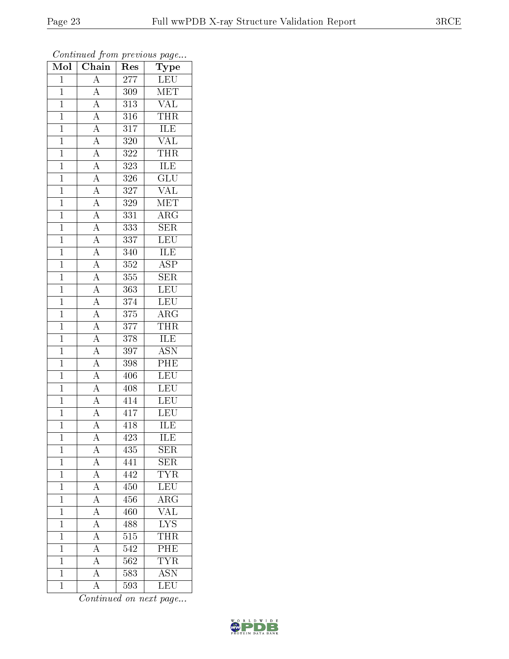| Mol            | $\cdots$ , $\cdots$<br>$\overline{\text{Chain}}$                                                                                                                                                                                                                                                                                                                                                                          | x.<br>Res        | $\mathbf{r}$ - $\mathbf{v}$<br>Type |
|----------------|---------------------------------------------------------------------------------------------------------------------------------------------------------------------------------------------------------------------------------------------------------------------------------------------------------------------------------------------------------------------------------------------------------------------------|------------------|-------------------------------------|
| $\mathbf{1}$   | $\overline{A}$                                                                                                                                                                                                                                                                                                                                                                                                            | 277              | ${\rm LEU}$                         |
| $\mathbf{1}$   |                                                                                                                                                                                                                                                                                                                                                                                                                           | 309              | $\overline{\text{MET}}$             |
| $\overline{1}$ |                                                                                                                                                                                                                                                                                                                                                                                                                           | 313              | $\frac{\text{VAL}}{\text{THR}}$     |
| $\mathbf{1}$   |                                                                                                                                                                                                                                                                                                                                                                                                                           | $\overline{316}$ |                                     |
| $\overline{1}$ |                                                                                                                                                                                                                                                                                                                                                                                                                           | $\overline{317}$ | <b>ILE</b>                          |
| $\overline{1}$ |                                                                                                                                                                                                                                                                                                                                                                                                                           | 320              | $\overline{\text{VAL}}$             |
| $\overline{1}$ |                                                                                                                                                                                                                                                                                                                                                                                                                           | 322              | <b>THR</b>                          |
| $\overline{1}$ |                                                                                                                                                                                                                                                                                                                                                                                                                           | $\overline{323}$ | ILE                                 |
| $\overline{1}$ |                                                                                                                                                                                                                                                                                                                                                                                                                           | $\overline{3}26$ | $\overline{\text{GLU}}$             |
| $\mathbf{1}$   |                                                                                                                                                                                                                                                                                                                                                                                                                           | 327              | $\overline{\text{VAL}}$             |
| $\mathbf{1}$   |                                                                                                                                                                                                                                                                                                                                                                                                                           | 329              | MET                                 |
| $\overline{1}$ |                                                                                                                                                                                                                                                                                                                                                                                                                           | $3\overline{31}$ | $\overline{\rm{ARG}}$               |
| $\overline{1}$ |                                                                                                                                                                                                                                                                                                                                                                                                                           | 333              | <b>SER</b>                          |
| $\overline{1}$ |                                                                                                                                                                                                                                                                                                                                                                                                                           | 337              | LEU                                 |
| $\overline{1}$ |                                                                                                                                                                                                                                                                                                                                                                                                                           | 340              | <b>ILE</b>                          |
| $\mathbf{1}$   | $\frac{\overline{A}}{\overline{A}} \frac{\overline{A}}{\overline{A}} \frac{\overline{A}}{\overline{A}} \frac{\overline{A}}{\overline{A}} \frac{\overline{A}}{\overline{A}} \frac{\overline{A}}{\overline{A}} \frac{\overline{A}}{\overline{A}} \frac{\overline{A}}{\overline{A}} \frac{\overline{A}}{\overline{A}} \frac{\overline{A}}{\overline{A}} \frac{\overline{A}}{\overline{A}} \frac{\overline{A}}{\overline{A}}$ | 352              | <b>ASP</b>                          |
| $\mathbf{1}$   |                                                                                                                                                                                                                                                                                                                                                                                                                           | 355              | $\overline{\text{SER}}$             |
| $\overline{1}$ |                                                                                                                                                                                                                                                                                                                                                                                                                           | 363              | LEU                                 |
| $\overline{1}$ |                                                                                                                                                                                                                                                                                                                                                                                                                           | 374              | LEU                                 |
| $\overline{1}$ |                                                                                                                                                                                                                                                                                                                                                                                                                           | $\overline{375}$ | $\overline{\text{ARG}}$             |
| $\mathbf{1}$   |                                                                                                                                                                                                                                                                                                                                                                                                                           | 377              | <b>THR</b>                          |
| $\overline{1}$ |                                                                                                                                                                                                                                                                                                                                                                                                                           | $\overline{378}$ | <b>ILE</b>                          |
| $\mathbf{1}$   |                                                                                                                                                                                                                                                                                                                                                                                                                           | $\overline{3}97$ | <b>ASN</b>                          |
| $\overline{1}$ |                                                                                                                                                                                                                                                                                                                                                                                                                           | 398              | $\overline{\text{PHE}}$             |
| $\overline{1}$ | $\overline{A}$                                                                                                                                                                                                                                                                                                                                                                                                            | 406              | LEU                                 |
| $\mathbf{1}$   | $\frac{\overline{A}}{\overline{A}}$                                                                                                                                                                                                                                                                                                                                                                                       | 408              | LEU                                 |
| $\overline{1}$ |                                                                                                                                                                                                                                                                                                                                                                                                                           | 414              | <b>LEU</b>                          |
| $\overline{1}$ |                                                                                                                                                                                                                                                                                                                                                                                                                           | 417              | $\overline{\text{LEU}}$             |
| $\overline{1}$ | $\overline{\rm A}$                                                                                                                                                                                                                                                                                                                                                                                                        | 418              | ILE                                 |
| 1              | A                                                                                                                                                                                                                                                                                                                                                                                                                         | 423              | ILE                                 |
| $\mathbf{1}$   | $\overline{A}$                                                                                                                                                                                                                                                                                                                                                                                                            | 435              | <b>SER</b>                          |
| $\overline{1}$ | $\frac{\overline{A}}{\overline{A}}$                                                                                                                                                                                                                                                                                                                                                                                       | 441              | $\overline{\text{SER}}$             |
| $\mathbf{1}$   |                                                                                                                                                                                                                                                                                                                                                                                                                           | 442              | $\overline{\text{TYR}}$             |
| $\overline{1}$ | $\overline{A}$                                                                                                                                                                                                                                                                                                                                                                                                            | 450              | LEU                                 |
| $\mathbf 1$    | $\overline{A}$                                                                                                                                                                                                                                                                                                                                                                                                            | 456              | $\rm{ARG}$                          |
| $\mathbf 1$    | $\overline{A}$                                                                                                                                                                                                                                                                                                                                                                                                            | 460              | $\overline{\text{VAL}}$             |
| $\mathbf 1$    | $\overline{A}$                                                                                                                                                                                                                                                                                                                                                                                                            | 488              | $\overline{\text{LYS}}$             |
| $\mathbf 1$    | $\overline{A}$                                                                                                                                                                                                                                                                                                                                                                                                            | $\overline{515}$ | <b>THR</b>                          |
| $\mathbf 1$    | $\overline{A}$                                                                                                                                                                                                                                                                                                                                                                                                            | 542              | PHE                                 |
| $\mathbf 1$    | $\overline{A}$                                                                                                                                                                                                                                                                                                                                                                                                            | 562              | <b>TYR</b>                          |
| $\mathbf 1$    | $\overline{A}$                                                                                                                                                                                                                                                                                                                                                                                                            | 583              | $\overline{\mathrm{ASN}}$           |
| $\mathbf{1}$   | $\overline{A}$                                                                                                                                                                                                                                                                                                                                                                                                            | 593              | $\overline{\text{LEU}}$             |

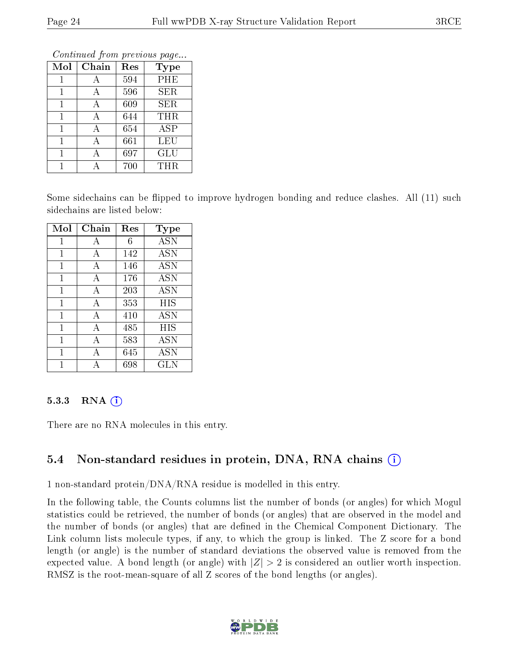| Conning Trong previous page |       |     |                         |  |  |  |  |  |
|-----------------------------|-------|-----|-------------------------|--|--|--|--|--|
| Mol                         | Chain | Res | <b>Type</b>             |  |  |  |  |  |
|                             |       | 594 | PHE                     |  |  |  |  |  |
| 1                           | А     | 596 | <b>SER</b>              |  |  |  |  |  |
| 1                           | А     | 609 | SER                     |  |  |  |  |  |
| 1                           | А     | 644 | THR                     |  |  |  |  |  |
| 1                           | А     | 654 | $\overline{\text{ASP}}$ |  |  |  |  |  |
| 1                           | А     | 661 | LEU                     |  |  |  |  |  |
| 1                           | А     | 697 | GLU                     |  |  |  |  |  |
|                             |       | 700 | THR                     |  |  |  |  |  |

Some sidechains can be flipped to improve hydrogen bonding and reduce clashes. All (11) such sidechains are listed below:

| Mol          | Chain          | $\operatorname{Res}$ | Type       |
|--------------|----------------|----------------------|------------|
| 1            | А              | 6                    | <b>ASN</b> |
| 1            | A              | 142                  | <b>ASN</b> |
| $\mathbf{1}$ | A              | 146                  | <b>ASN</b> |
| $\mathbf{1}$ | А              | 176                  | <b>ASN</b> |
| 1            | $\overline{A}$ | 203                  | ASN        |
| 1            | А              | 353                  | HIS        |
| 1            | А              | 410                  | ASN        |
| 1            | А              | 485                  | HIS        |
| 1            | А              | 583                  | <b>ASN</b> |
| 1            | А              | 645                  | ASN        |
| 1            |                | 698                  | GLN        |

#### 5.3.3 RNA  $(i)$

There are no RNA molecules in this entry.

### 5.4 Non-standard residues in protein, DNA, RNA chains (i)

1 non-standard protein/DNA/RNA residue is modelled in this entry.

In the following table, the Counts columns list the number of bonds (or angles) for which Mogul statistics could be retrieved, the number of bonds (or angles) that are observed in the model and the number of bonds (or angles) that are defined in the Chemical Component Dictionary. The Link column lists molecule types, if any, to which the group is linked. The Z score for a bond length (or angle) is the number of standard deviations the observed value is removed from the expected value. A bond length (or angle) with  $|Z| > 2$  is considered an outlier worth inspection. RMSZ is the root-mean-square of all Z scores of the bond lengths (or angles).

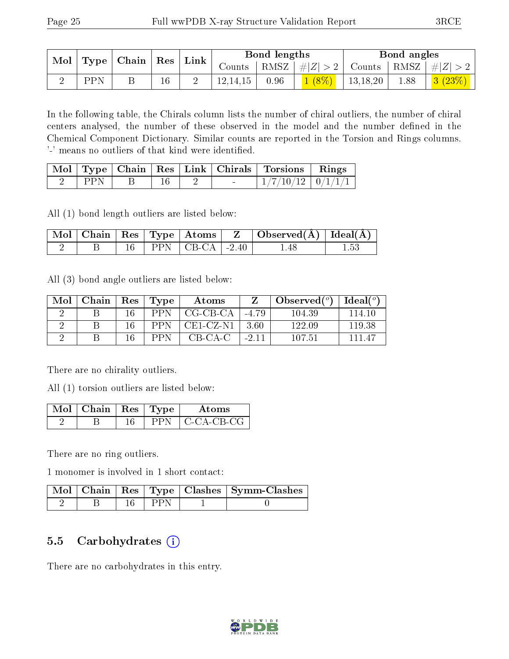| $\mid$ Type $\mid$ Chain $\mid$ Res $\mid$<br>$\bf{Mol}$ |     |  | $\perp$ Link |          | Bond lengths |          |                  | Bond angles                                                       |        |
|----------------------------------------------------------|-----|--|--------------|----------|--------------|----------|------------------|-------------------------------------------------------------------|--------|
|                                                          |     |  |              |          |              |          |                  | Counts   RMSZ $\mid \#  Z  > 2$   Counts   RMSZ $\mid \#  Z  > 2$ |        |
|                                                          | PPN |  |              | 12,14,15 | 0.96         | $1(8\%)$ | $\vert$ 13.18.20 | 1.88                                                              | 3(23%) |

In the following table, the Chirals column lists the number of chiral outliers, the number of chiral centers analysed, the number of these observed in the model and the number defined in the Chemical Component Dictionary. Similar counts are reported in the Torsion and Rings columns. '-' means no outliers of that kind were identified.

|     |  |   | Mol   Type   Chain   Res   Link   Chirals   Torsions   Rings |  |
|-----|--|---|--------------------------------------------------------------|--|
| PPN |  | - | $1/7/10/12$   $0/1/1/1$                                      |  |

All (1) bond length outliers are listed below:

|  |  |                            | $\top$ Mol   Chain   Res   Type   Atoms   $\;$ Z   Observed(Å)   Ideal(Å) |  |
|--|--|----------------------------|---------------------------------------------------------------------------|--|
|  |  | $16$   PPN   CB-CA   -2.40 | 148                                                                       |  |

All (3) bond angle outliers are listed below:

| Mol | Chain | $Res \mid$ | $\vert$ Type | Atoms       |         | Observed $(°)$ | Ideal $(^\circ)$ |
|-----|-------|------------|--------------|-------------|---------|----------------|------------------|
|     |       |            | <b>PPN</b>   | $CG-CB-CA$  | $-4.79$ | 104.39         | 114.10           |
|     |       |            | <b>PPN</b>   | $CE1-CZ-N1$ | -3.60   | 122.09         | 119.38           |
|     |       |            | PPN          | CB-CA-C     | $-2.11$ | 107.51         | 111 47           |

There are no chirality outliers.

All (1) torsion outliers are listed below:

| Mol | $\blacksquare$ Chain   Res   Type $\blacksquare$ |  | Atoms       |
|-----|--------------------------------------------------|--|-------------|
|     |                                                  |  | -C-CA-CB-CG |

There are no ring outliers.

1 monomer is involved in 1 short contact:

|  |             | Mol   Chain   Res   Type   Clashes   Symm-Clashes |
|--|-------------|---------------------------------------------------|
|  | $\perp$ PPN |                                                   |

#### 5.5 Carbohydrates (i)

There are no carbohydrates in this entry.

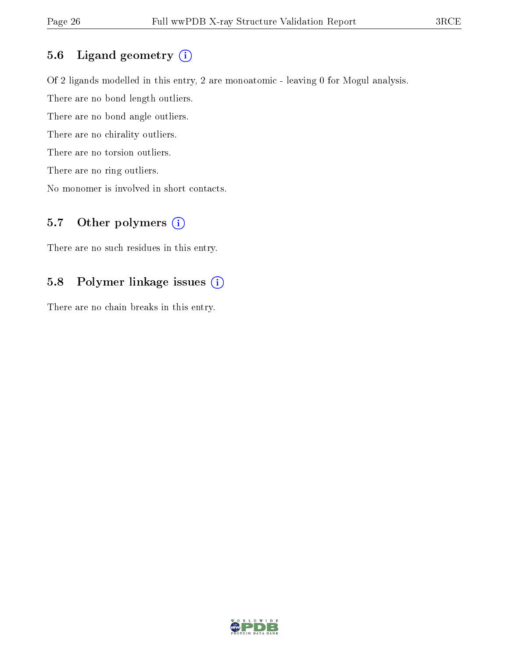### 5.6 Ligand geometry (i)

Of 2 ligands modelled in this entry, 2 are monoatomic - leaving 0 for Mogul analysis. There are no bond length outliers. There are no bond angle outliers. There are no chirality outliers. There are no torsion outliers. There are no ring outliers. No monomer is involved in short contacts.

### 5.7 [O](https://www.wwpdb.org/validation/2017/XrayValidationReportHelp#nonstandard_residues_and_ligands)ther polymers  $(i)$

There are no such residues in this entry.

### 5.8 Polymer linkage issues (i)

There are no chain breaks in this entry.

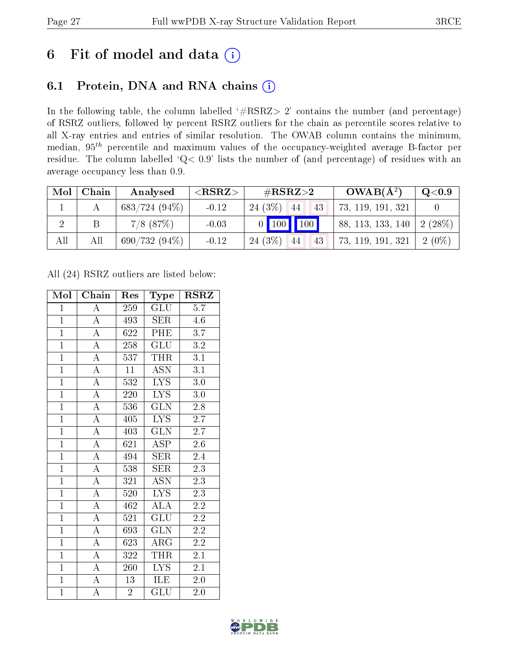## 6 Fit of model and data  $(i)$

### 6.1 Protein, DNA and RNA chains  $(i)$

In the following table, the column labelled  $#RSRZ> 2'$  contains the number (and percentage) of RSRZ outliers, followed by percent RSRZ outliers for the chain as percentile scores relative to all X-ray entries and entries of similar resolution. The OWAB column contains the minimum, median,  $95<sup>th</sup>$  percentile and maximum values of the occupancy-weighted average B-factor per residue. The column labelled ' $Q< 0.9$ ' lists the number of (and percentage) of residues with an average occupancy less than 0.9.

| Mol | Chain | Analysed        | ${ <\hspace{-1.5pt}{\mathrm{RSRZ}} \hspace{-1.5pt}>}$ | # $RSRZ>2$            | $OWAB(A^2)$       | Q <sub>0.9</sub> |
|-----|-------|-----------------|-------------------------------------------------------|-----------------------|-------------------|------------------|
|     |       | $683/724(94\%)$ | $-0.12$                                               | 24(3%)<br>44          | 73, 119, 191, 321 |                  |
|     |       | $7/8$ $(87%)$   | $-0.03$                                               | 0   100   100         | 88, 113, 133, 140 | $2(28%)$         |
| All | All   | $690/732(94\%)$ | $-0.12$                                               | $24(3\%)$<br>43<br>44 | 73, 119, 191, 321 | $2(0\%)$         |

All (24) RSRZ outliers are listed below:

| Mol            | Chain              | Res              | <b>Type</b>             | $\rm RSRZ$       |
|----------------|--------------------|------------------|-------------------------|------------------|
| $\mathbf{1}$   | $\overline{A}$     | 259              | GLU                     | $\overline{5.7}$ |
| $\mathbf{1}$   | $\overline{A}$     | 493              | <b>SER</b>              | 4.6              |
| $\overline{1}$ | $\overline{\rm A}$ | 622              | <b>PHE</b>              | 3.7              |
| $\overline{1}$ | $\overline{\rm A}$ | 258              | <b>GLU</b>              | $\overline{3.2}$ |
| $\overline{1}$ | $\overline{A}$     | 537              | <b>THR</b>              | $\overline{3.1}$ |
| $\overline{1}$ | $\overline{\rm A}$ | 11               | <b>ASN</b>              | $\overline{3.1}$ |
| $\overline{1}$ | $\overline{\rm A}$ | $\overline{532}$ | <b>LYS</b>              | $3.0\,$          |
| $\overline{1}$ | $\overline{A}$     | 220              | $\overline{\text{LYS}}$ | $3.0\,$          |
| $\overline{1}$ | $\overline{\rm A}$ | 536              | $\overline{\text{GLN}}$ | 2.8              |
| $\overline{1}$ | $\overline{A}$     | 405              | $\overline{\text{LYS}}$ | $\overline{2.7}$ |
| $\overline{1}$ | $\overline{\rm A}$ | 403              | $\overline{\text{GLN}}$ | $2.7^{\degree}$  |
| $\overline{1}$ | $\overline{\rm A}$ | 621              | $\overline{\rm ASP}$    | $2.6\,$          |
| $\overline{1}$ | $\overline{\rm A}$ | 494              | <b>SER</b>              | 2.4              |
| $\overline{1}$ | $\overline{\rm A}$ | 538              | <b>SER</b>              | $2\overline{.3}$ |
| $\overline{1}$ | $\overline{A}$     | 321              | $\overline{\text{ASN}}$ | $\overline{2.3}$ |
| $\overline{1}$ | $\overline{\rm A}$ | 520              | $\overline{\text{LYS}}$ | $2.\overline{3}$ |
| $\overline{1}$ | $\overline{A}$     | 462              | $\overline{\rm ALA}$    | $\overline{2.2}$ |
| $\mathbf{1}$   | $\overline{\rm A}$ | 521              | <b>GLU</b>              | $2.\overline{2}$ |
| $\overline{1}$ | $\overline{\rm A}$ | 693              | <b>GLN</b>              | $2.\overline{2}$ |
| $\overline{1}$ | $\overline{A}$     | 623              | $\rm{ARG}$              | 2.2              |
| $\overline{1}$ | $\overline{\rm A}$ | 322              | <b>THR</b>              | $2.1\,$          |
| $\overline{1}$ | $\overline{A}$     | 260              | $\overline{\text{LYS}}$ | 2.1              |
| $\mathbf{1}$   | $\overline{\rm A}$ | 13               | ILE                     | 2.0              |
| $\overline{1}$ | $\overline{\rm A}$ | $\overline{2}$   | $\operatorname{GLU}$    | 2.0              |